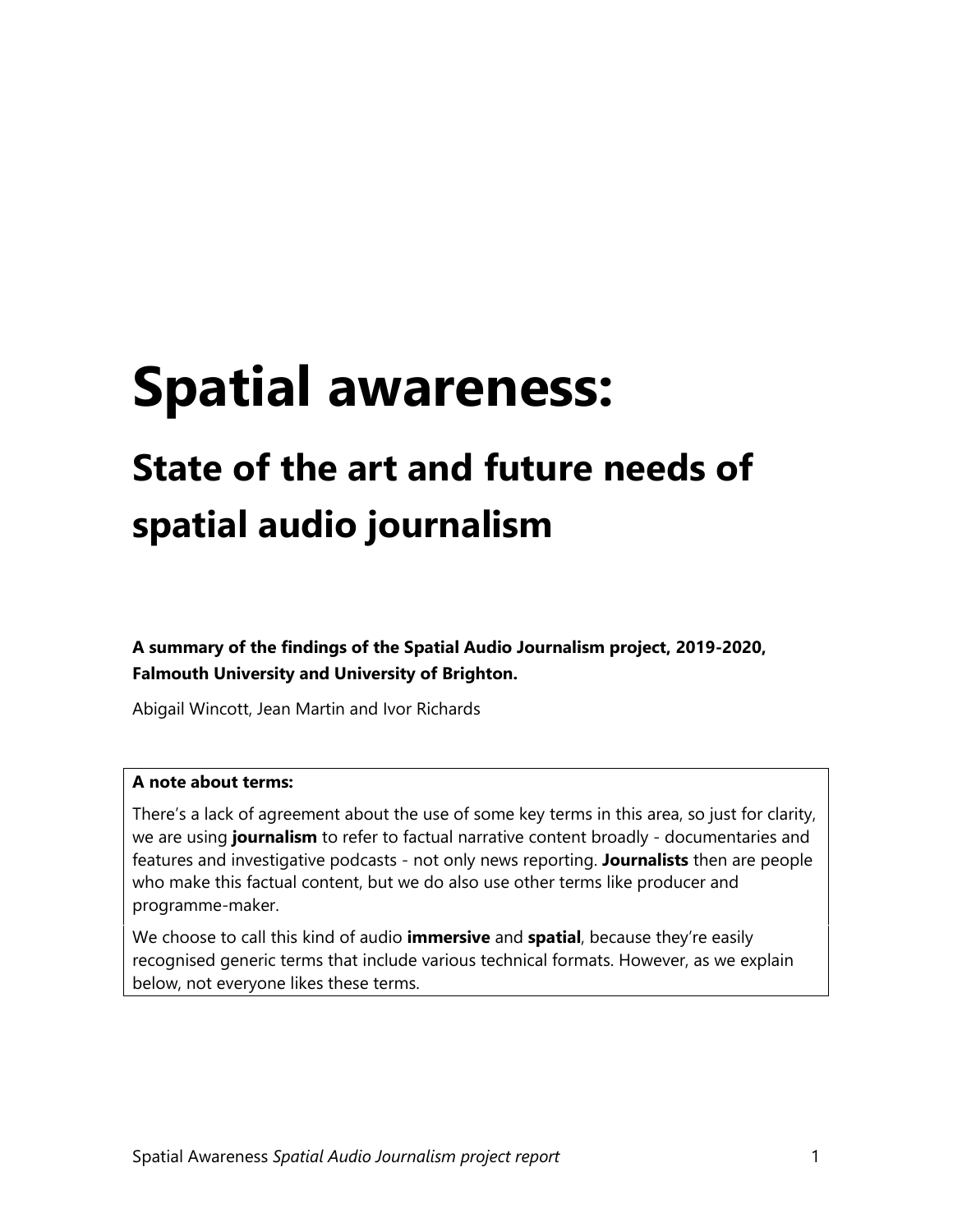# <span id="page-0-0"></span>**Spatial awareness:**

## <span id="page-0-1"></span>**State of the art and future needs of spatial audio journalism**

<span id="page-0-2"></span>**A summary of the findings of the Spatial Audio Journalism project, 2019-2020, Falmouth University and University of Brighton.** 

Abigail Wincott, Jean Martin and Ivor Richards

#### **A note about terms:**

There's a lack of agreement about the use of some key terms in this area, so just for clarity, we are using **journalism** to refer to factual narrative content broadly - documentaries and features and investigative podcasts - not only news reporting. **Journalists** then are people who make this factual content, but we do also use other terms like producer and programme-maker.

We choose to call this kind of audio **immersive** and **spatial**, because they're easily recognised generic terms that include various technical formats. However, as we explain below, not everyone likes these terms.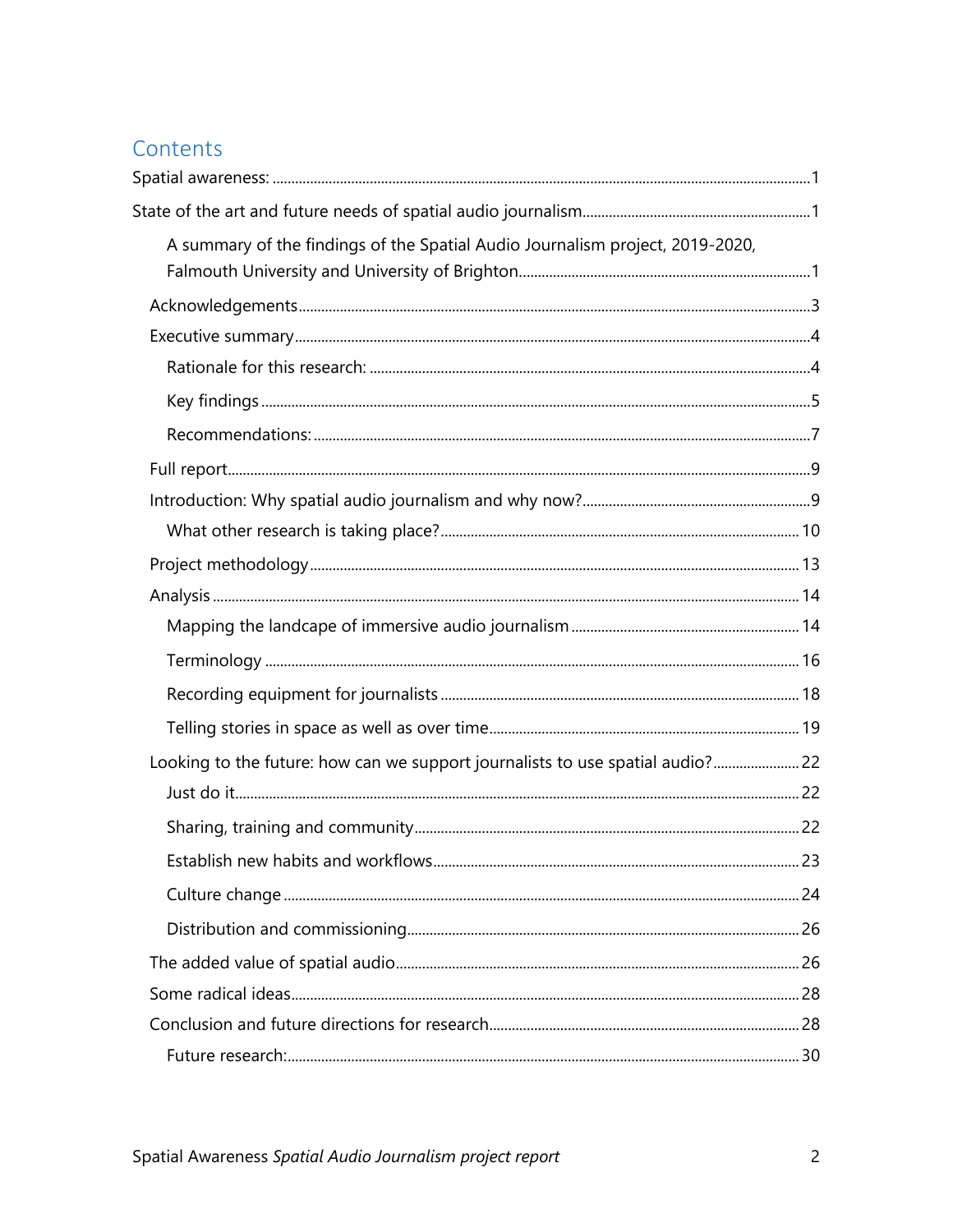#### Contents

| A summary of the findings of the Spatial Audio Journalism project, 2019-2020,  |  |
|--------------------------------------------------------------------------------|--|
|                                                                                |  |
|                                                                                |  |
|                                                                                |  |
|                                                                                |  |
|                                                                                |  |
|                                                                                |  |
|                                                                                |  |
|                                                                                |  |
|                                                                                |  |
|                                                                                |  |
|                                                                                |  |
|                                                                                |  |
|                                                                                |  |
|                                                                                |  |
| Looking to the future: how can we support journalists to use spatial audio? 22 |  |
|                                                                                |  |
|                                                                                |  |
|                                                                                |  |
|                                                                                |  |
|                                                                                |  |
|                                                                                |  |
|                                                                                |  |
|                                                                                |  |
|                                                                                |  |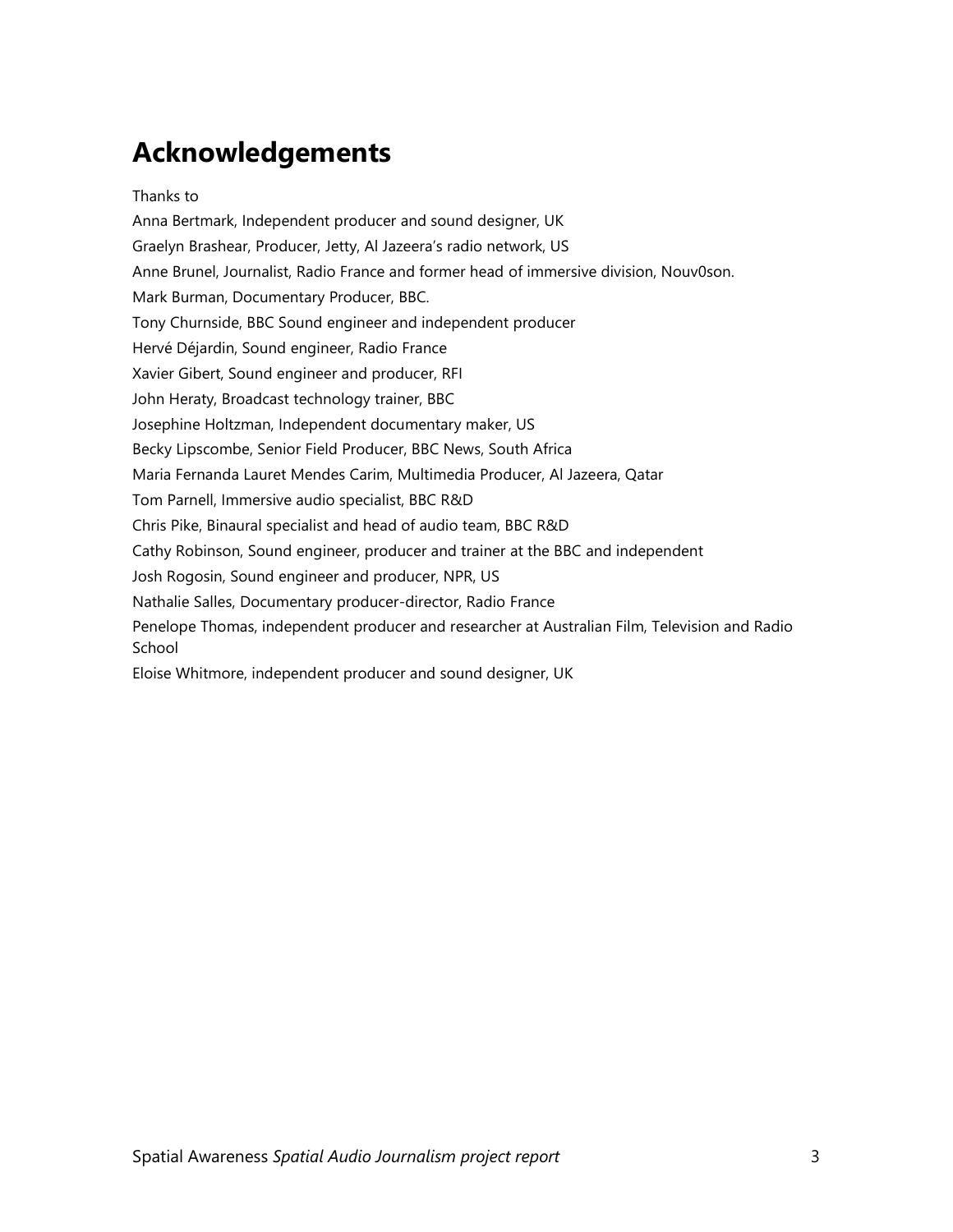### <span id="page-2-0"></span>**Acknowledgements**

Thanks to Anna Bertmark, Independent producer and sound designer, UK Graelyn Brashear, Producer, Jetty, Al Jazeera's radio network, US Anne Brunel, Journalist, Radio France and former head of immersive division, Nouv0son. Mark Burman, Documentary Producer, BBC. Tony Churnside, BBC Sound engineer and independent producer Hervé Déjardin, Sound engineer, Radio France Xavier Gibert, Sound engineer and producer, RFI John Heraty, Broadcast technology trainer, BBC Josephine Holtzman, Independent documentary maker, US Becky Lipscombe, Senior Field Producer, BBC News, South Africa Maria Fernanda Lauret Mendes Carim, Multimedia Producer, Al Jazeera, Qatar Tom Parnell, Immersive audio specialist, BBC R&D Chris Pike, Binaural specialist and head of audio team, BBC R&D Cathy Robinson, Sound engineer, producer and trainer at the BBC and independent Josh Rogosin, Sound engineer and producer, NPR, US Nathalie Salles, Documentary producer-director, Radio France Penelope Thomas, independent producer and researcher at Australian Film, Television and Radio School Eloise Whitmore, independent producer and sound designer, UK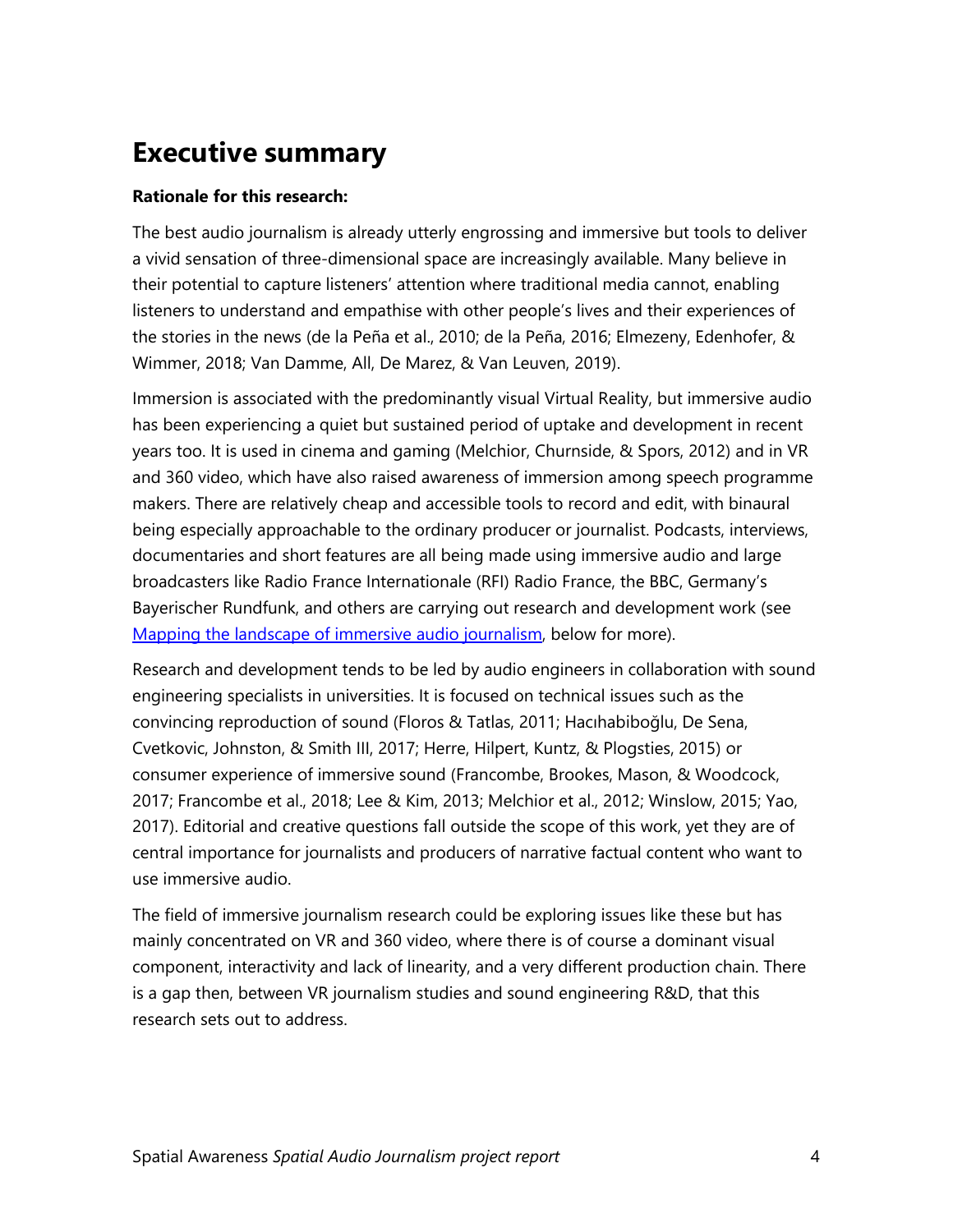### <span id="page-3-0"></span>**Executive summary**

#### <span id="page-3-1"></span>**Rationale for this research:**

The best audio journalism is already utterly engrossing and immersive but tools to deliver a vivid sensation of three-dimensional space are increasingly available. Many believe in their potential to capture listeners' attention where traditional media cannot, enabling listeners to understand and empathise with other people's lives and their experiences of the stories in the news (de la Peña et al., 2010; de la Peña, 2016; Elmezeny, Edenhofer, & Wimmer, 2018; Van Damme, All, De Marez, & Van Leuven, 2019).

Immersion is associated with the predominantly visual Virtual Reality, but immersive audio has been experiencing a quiet but sustained period of uptake and development in recent years too. It is used in cinema and gaming (Melchior, Churnside, & Spors, 2012) and in VR and 360 video, which have also raised awareness of immersion among speech programme makers. There are relatively cheap and accessible tools to record and edit, with binaural being especially approachable to the ordinary producer or journalist. Podcasts, interviews, documentaries and short features are all being made using immersive audio and large broadcasters like Radio France Internationale (RFI) Radio France, the BBC, Germany's Bayerischer Rundfunk, and others are carrying out research and development work (see [Mapping the landscape of immersive audio journalism,](#page-13-1) below for more).

Research and development tends to be led by audio engineers in collaboration with sound engineering specialists in universities. It is focused on technical issues such as the convincing reproduction of sound (Floros & Tatlas, 2011; Hacıhabiboğlu, De Sena, Cvetkovic, Johnston, & Smith III, 2017; Herre, Hilpert, Kuntz, & Plogsties, 2015) or consumer experience of immersive sound (Francombe, Brookes, Mason, & Woodcock, 2017; Francombe et al., 2018; Lee & Kim, 2013; Melchior et al., 2012; Winslow, 2015; Yao, 2017). Editorial and creative questions fall outside the scope of this work, yet they are of central importance for journalists and producers of narrative factual content who want to use immersive audio.

The field of immersive journalism research could be exploring issues like these but has mainly concentrated on VR and 360 video, where there is of course a dominant visual component, interactivity and lack of linearity, and a very different production chain. There is a gap then, between VR journalism studies and sound engineering R&D, that this research sets out to address.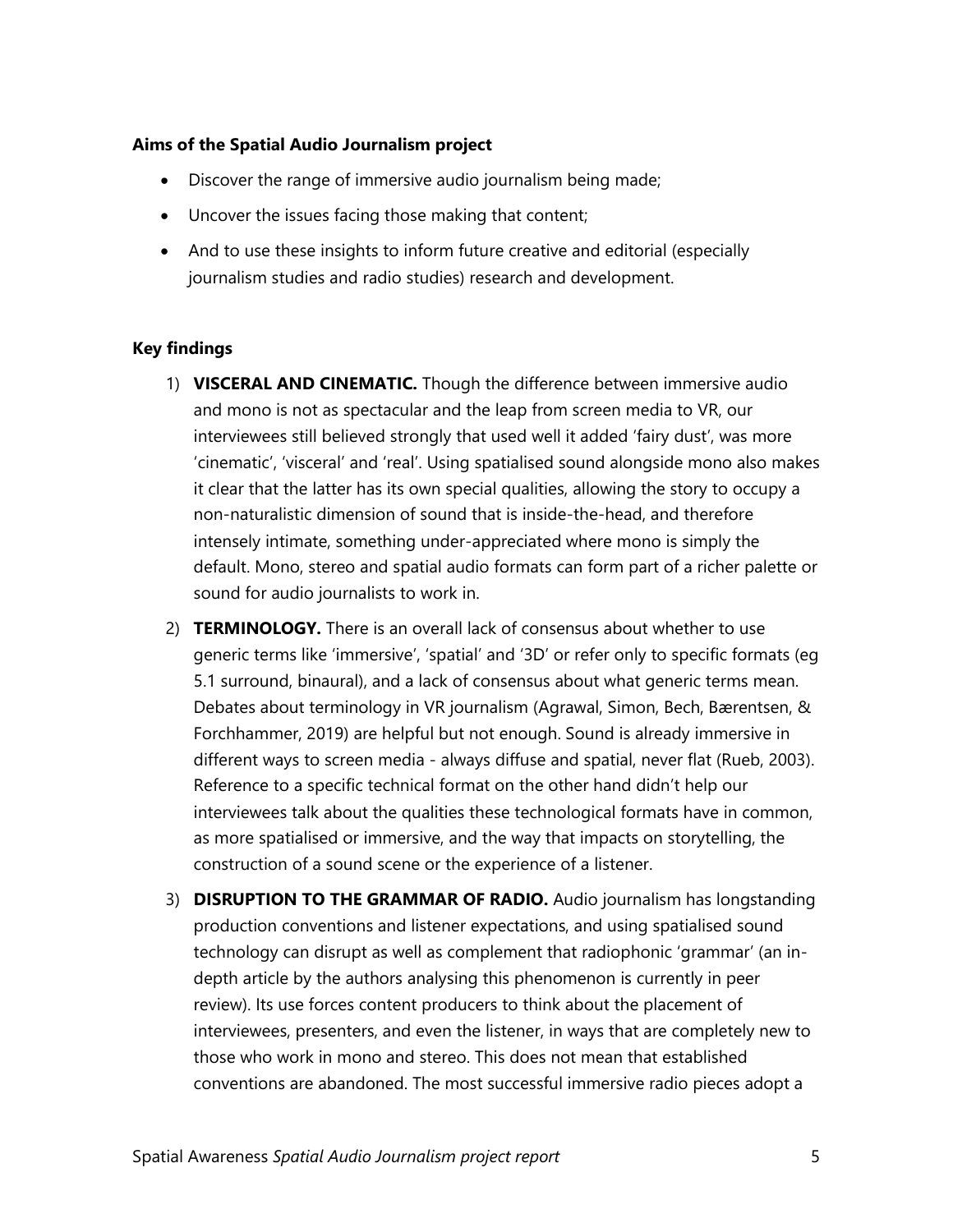#### **Aims of the Spatial Audio Journalism project**

- Discover the range of immersive audio journalism being made;
- Uncover the issues facing those making that content;
- And to use these insights to inform future creative and editorial (especially journalism studies and radio studies) research and development.

#### <span id="page-4-0"></span>**Key findings**

- 1) **VISCERAL AND CINEMATIC.** Though the difference between immersive audio and mono is not as spectacular and the leap from screen media to VR, our interviewees still believed strongly that used well it added 'fairy dust', was more 'cinematic', 'visceral' and 'real'. Using spatialised sound alongside mono also makes it clear that the latter has its own special qualities, allowing the story to occupy a non-naturalistic dimension of sound that is inside-the-head, and therefore intensely intimate, something under-appreciated where mono is simply the default. Mono, stereo and spatial audio formats can form part of a richer palette or sound for audio journalists to work in.
- 2) **TERMINOLOGY.** There is an overall lack of consensus about whether to use generic terms like 'immersive', 'spatial' and '3D' or refer only to specific formats (eg 5.1 surround, binaural), and a lack of consensus about what generic terms mean. Debates about terminology in VR journalism (Agrawal, Simon, Bech, Bærentsen, & Forchhammer, 2019) are helpful but not enough. Sound is already immersive in different ways to screen media - always diffuse and spatial, never flat (Rueb, 2003). Reference to a specific technical format on the other hand didn't help our interviewees talk about the qualities these technological formats have in common, as more spatialised or immersive, and the way that impacts on storytelling, the construction of a sound scene or the experience of a listener.
- 3) **DISRUPTION TO THE GRAMMAR OF RADIO.** Audio journalism has longstanding production conventions and listener expectations, and using spatialised sound technology can disrupt as well as complement that radiophonic 'grammar' (an indepth article by the authors analysing this phenomenon is currently in peer review). Its use forces content producers to think about the placement of interviewees, presenters, and even the listener, in ways that are completely new to those who work in mono and stereo. This does not mean that established conventions are abandoned. The most successful immersive radio pieces adopt a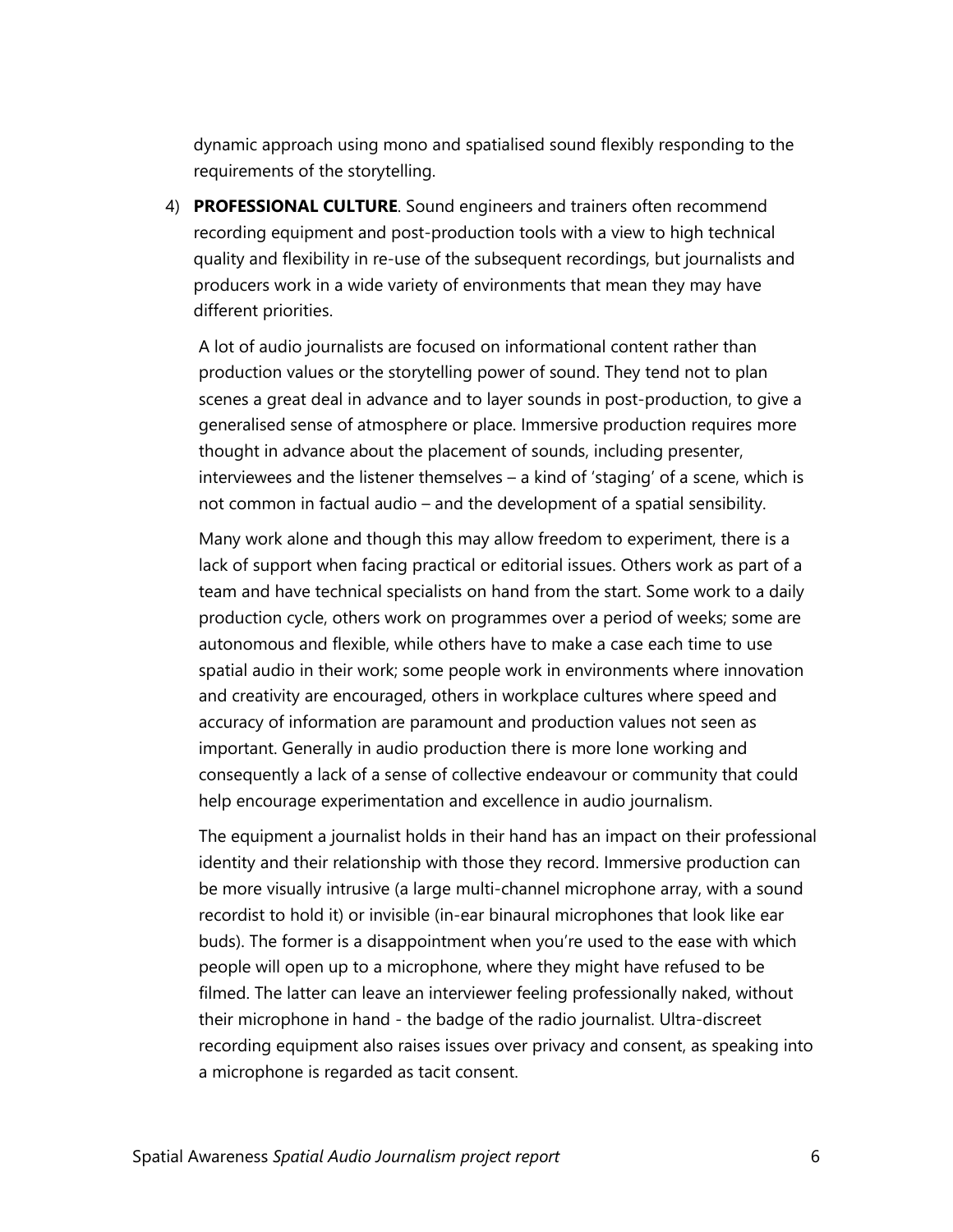dynamic approach using mono and spatialised sound flexibly responding to the requirements of the storytelling.

4) **PROFESSIONAL CULTURE**. Sound engineers and trainers often recommend recording equipment and post-production tools with a view to high technical quality and flexibility in re-use of the subsequent recordings, but journalists and producers work in a wide variety of environments that mean they may have different priorities.

A lot of audio journalists are focused on informational content rather than production values or the storytelling power of sound. They tend not to plan scenes a great deal in advance and to layer sounds in post-production, to give a generalised sense of atmosphere or place. Immersive production requires more thought in advance about the placement of sounds, including presenter, interviewees and the listener themselves – a kind of 'staging' of a scene, which is not common in factual audio – and the development of a spatial sensibility.

Many work alone and though this may allow freedom to experiment, there is a lack of support when facing practical or editorial issues. Others work as part of a team and have technical specialists on hand from the start. Some work to a daily production cycle, others work on programmes over a period of weeks; some are autonomous and flexible, while others have to make a case each time to use spatial audio in their work; some people work in environments where innovation and creativity are encouraged, others in workplace cultures where speed and accuracy of information are paramount and production values not seen as important. Generally in audio production there is more lone working and consequently a lack of a sense of collective endeavour or community that could help encourage experimentation and excellence in audio journalism.

The equipment a journalist holds in their hand has an impact on their professional identity and their relationship with those they record. Immersive production can be more visually intrusive (a large multi-channel microphone array, with a sound recordist to hold it) or invisible (in-ear binaural microphones that look like ear buds). The former is a disappointment when you're used to the ease with which people will open up to a microphone, where they might have refused to be filmed. The latter can leave an interviewer feeling professionally naked, without their microphone in hand - the badge of the radio journalist. Ultra-discreet recording equipment also raises issues over privacy and consent, as speaking into a microphone is regarded as tacit consent.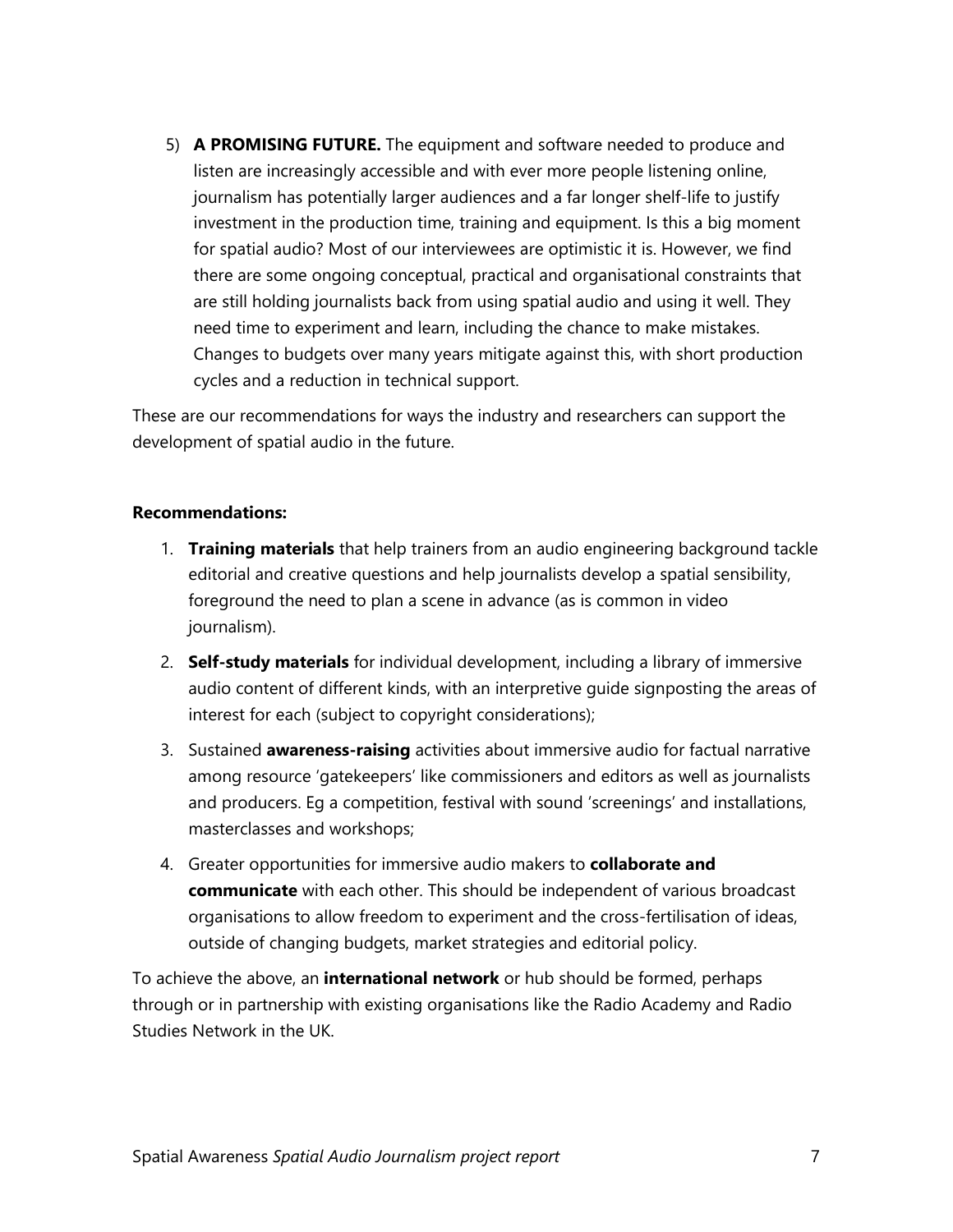5) **A PROMISING FUTURE.** The equipment and software needed to produce and listen are increasingly accessible and with ever more people listening online, journalism has potentially larger audiences and a far longer shelf-life to justify investment in the production time, training and equipment. Is this a big moment for spatial audio? Most of our interviewees are optimistic it is. However, we find there are some ongoing conceptual, practical and organisational constraints that are still holding journalists back from using spatial audio and using it well. They need time to experiment and learn, including the chance to make mistakes. Changes to budgets over many years mitigate against this, with short production cycles and a reduction in technical support.

These are our recommendations for ways the industry and researchers can support the development of spatial audio in the future.

#### <span id="page-6-0"></span>**Recommendations:**

- 1. **Training materials** that help trainers from an audio engineering background tackle editorial and creative questions and help journalists develop a spatial sensibility, foreground the need to plan a scene in advance (as is common in video journalism).
- 2. **Self-study materials** for individual development, including a library of immersive audio content of different kinds, with an interpretive guide signposting the areas of interest for each (subject to copyright considerations);
- 3. Sustained **awareness-raising** activities about immersive audio for factual narrative among resource 'gatekeepers' like commissioners and editors as well as journalists and producers. Eg a competition, festival with sound 'screenings' and installations, masterclasses and workshops;
- 4. Greater opportunities for immersive audio makers to **collaborate and communicate** with each other. This should be independent of various broadcast organisations to allow freedom to experiment and the cross-fertilisation of ideas, outside of changing budgets, market strategies and editorial policy.

To achieve the above, an **international network** or hub should be formed, perhaps through or in partnership with existing organisations like the Radio Academy and Radio Studies Network in the UK.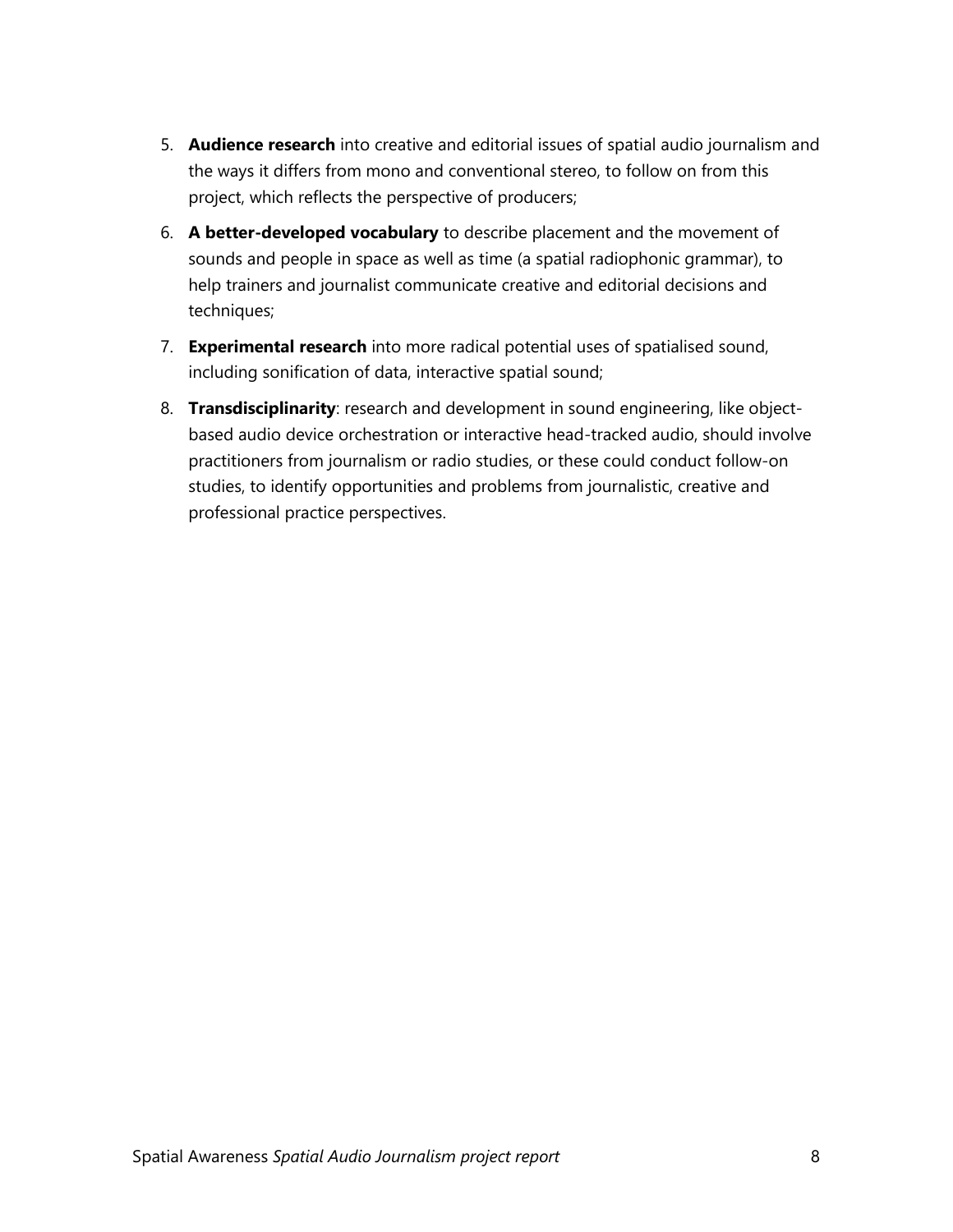- 5. **Audience research** into creative and editorial issues of spatial audio journalism and the ways it differs from mono and conventional stereo, to follow on from this project, which reflects the perspective of producers;
- 6. **A better-developed vocabulary** to describe placement and the movement of sounds and people in space as well as time (a spatial radiophonic grammar), to help trainers and journalist communicate creative and editorial decisions and techniques;
- 7. **Experimental research** into more radical potential uses of spatialised sound, including sonification of data, interactive spatial sound;
- <span id="page-7-0"></span>8. **Transdisciplinarity**: research and development in sound engineering, like objectbased audio device orchestration or interactive head-tracked audio, should involve practitioners from journalism or radio studies, or these could conduct follow-on studies, to identify opportunities and problems from journalistic, creative and professional practice perspectives.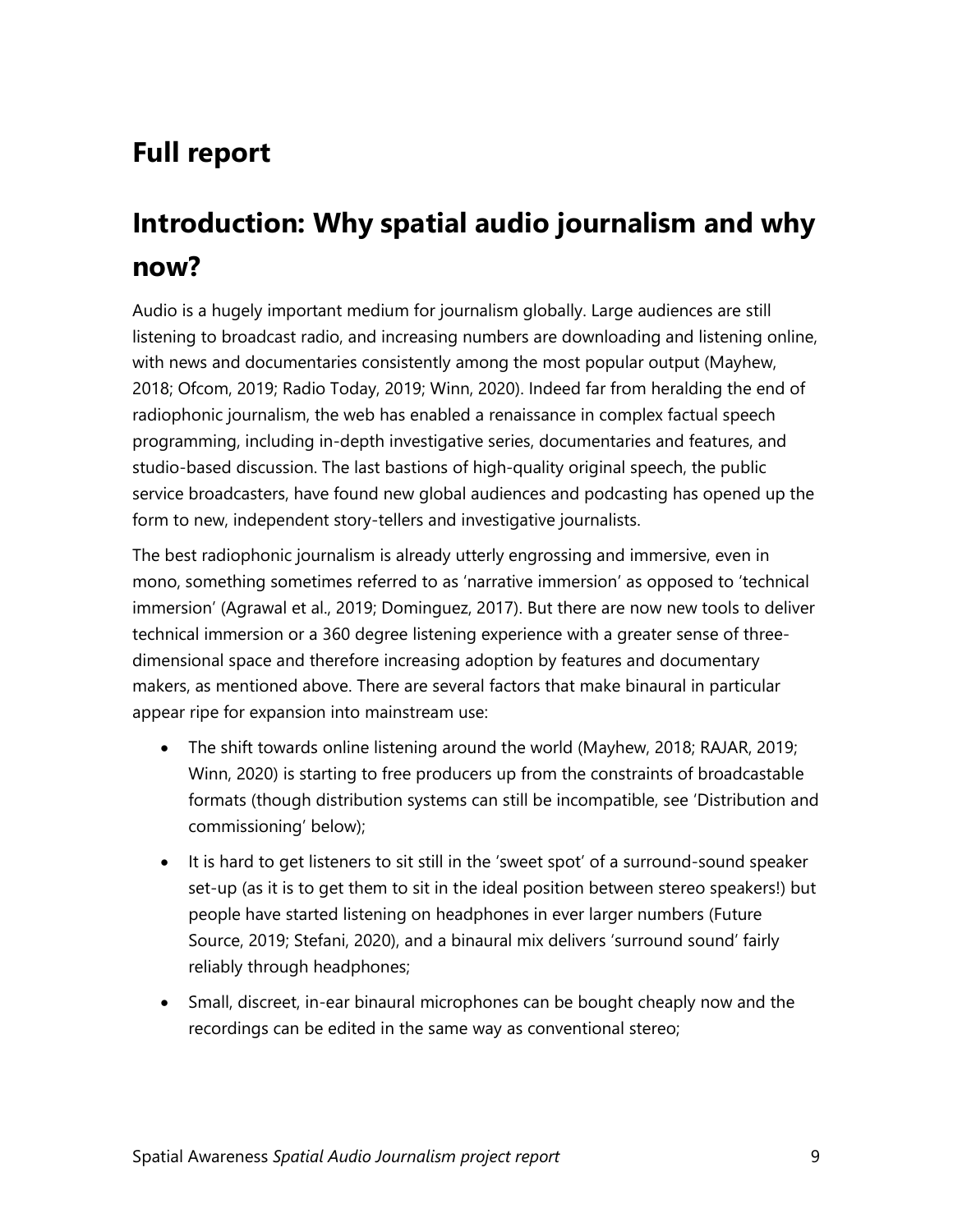### **Full report**

### <span id="page-8-0"></span>**Introduction: Why spatial audio journalism and why now?**

Audio is a hugely important medium for journalism globally. Large audiences are still listening to broadcast radio, and increasing numbers are downloading and listening online, with news and documentaries consistently among the most popular output (Mayhew, 2018; Ofcom, 2019; Radio Today, 2019; Winn, 2020). Indeed far from heralding the end of radiophonic journalism, the web has enabled a renaissance in complex factual speech programming, including in-depth investigative series, documentaries and features, and studio-based discussion. The last bastions of high-quality original speech, the public service broadcasters, have found new global audiences and podcasting has opened up the form to new, independent story-tellers and investigative journalists.

The best radiophonic journalism is already utterly engrossing and immersive, even in mono, something sometimes referred to as 'narrative immersion' as opposed to 'technical immersion' (Agrawal et al., 2019; Dominguez, 2017). But there are now new tools to deliver technical immersion or a 360 degree listening experience with a greater sense of threedimensional space and therefore increasing adoption by features and documentary makers, as mentioned above. There are several factors that make binaural in particular appear ripe for expansion into mainstream use:

- The shift towards online listening around the world (Mayhew, 2018; RAJAR, 2019; Winn, 2020) is starting to free producers up from the constraints of broadcastable formats (though distribution systems can still be incompatible, see '[Distribution and](#page-25-0)  [commissioning](#page-25-0)' below);
- It is hard to get listeners to sit still in the 'sweet spot' of a surround-sound speaker set-up (as it is to get them to sit in the ideal position between stereo speakers!) but people have started listening on headphones in ever larger numbers (Future Source, 2019; Stefani, 2020), and a binaural mix delivers 'surround sound' fairly reliably through headphones;
- Small, discreet, in-ear binaural microphones can be bought cheaply now and the recordings can be edited in the same way as conventional stereo;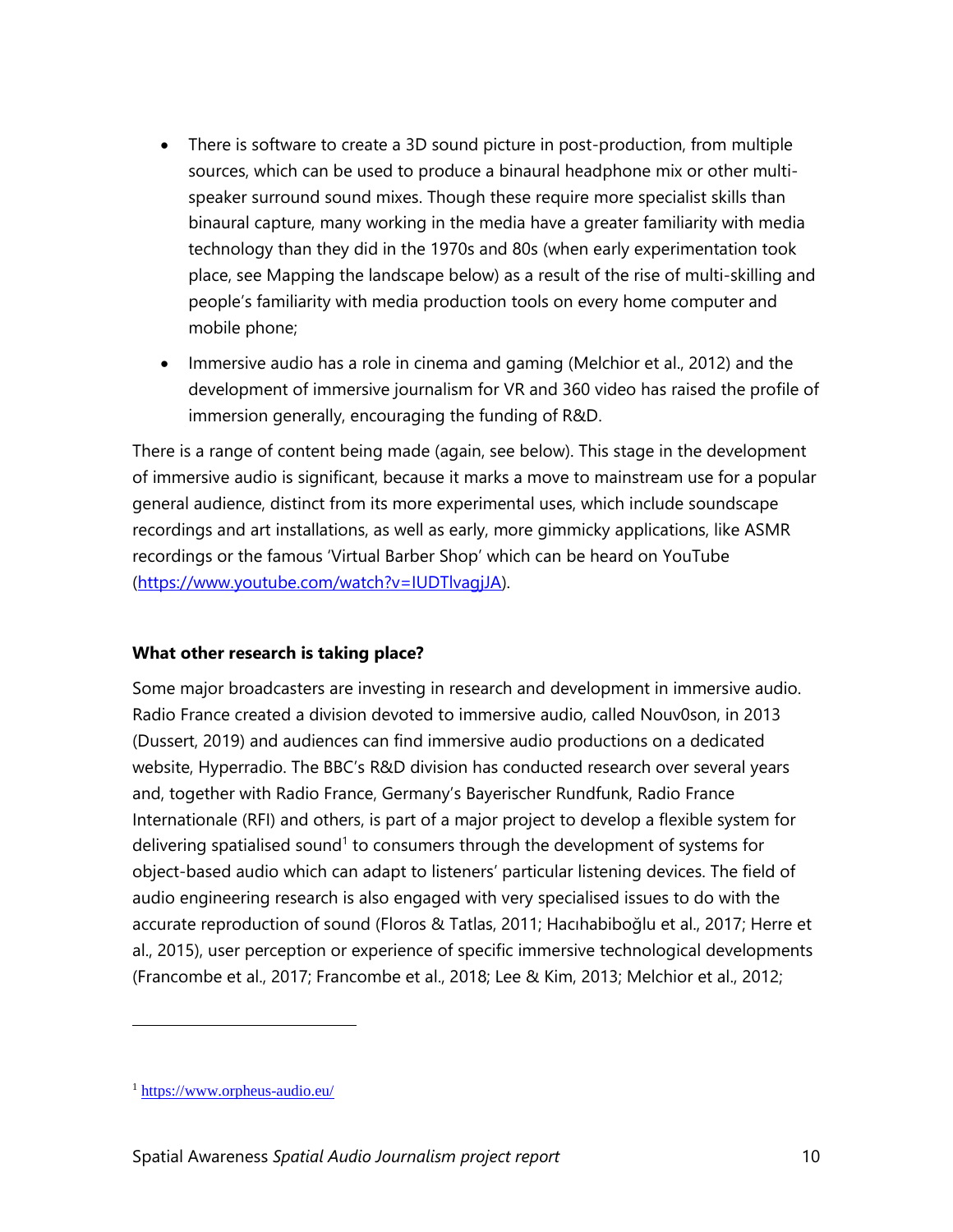- There is software to create a 3D sound picture in post-production, from multiple sources, which can be used to produce a binaural headphone mix or other multispeaker surround sound mixes. Though these require more specialist skills than binaural capture, many working in the media have a greater familiarity with media technology than they did in the 1970s and 80s (when early experimentation took place, see [Mapping the landscape](#page-13-1) below) as a result of the rise of multi-skilling and people's familiarity with media production tools on every home computer and mobile phone;
- Immersive audio has a role in cinema and gaming (Melchior et al., 2012) and the development of immersive journalism for VR and 360 video has raised the profile of immersion generally, encouraging the funding of R&D.

There is a range of content being made (again, see [below\)](#page-13-1). This stage in the development of immersive audio is significant, because it marks a move to mainstream use for a popular general audience, distinct from its more experimental uses, which include soundscape recordings and art installations, as well as early, more gimmicky applications, like ASMR recordings or the famous 'Virtual Barber Shop' which can be heard on YouTube [\(https://www.youtube.com/watch?v=IUDTlvagjJA\)](https://www.youtube.com/watch?v=IUDTlvagjJA).

#### <span id="page-9-0"></span>**What other research is taking place?**

Some major broadcasters are investing in research and development in immersive audio. Radio France created a division devoted to immersive audio, called Nouv0son, in 2013 (Dussert, 2019) and audiences can find immersive audio productions on a dedicated website, Hyperradio. The BBC's R&D division has conducted research over several years and, together with Radio France, Germany's Bayerischer Rundfunk, Radio France Internationale (RFI) and others, is part of a major project to develop a flexible system for delivering spatialised sound<sup>1</sup> to consumers through the development of systems for object-based audio which can adapt to listeners' particular listening devices. The field of audio engineering research is also engaged with very specialised issues to do with the accurate reproduction of sound (Floros & Tatlas, 2011; Hacıhabiboğlu et al., 2017; Herre et al., 2015), user perception or experience of specific immersive technological developments (Francombe et al., 2017; Francombe et al., 2018; Lee & Kim, 2013; Melchior et al., 2012;

l

<sup>1</sup> <https://www.orpheus-audio.eu/>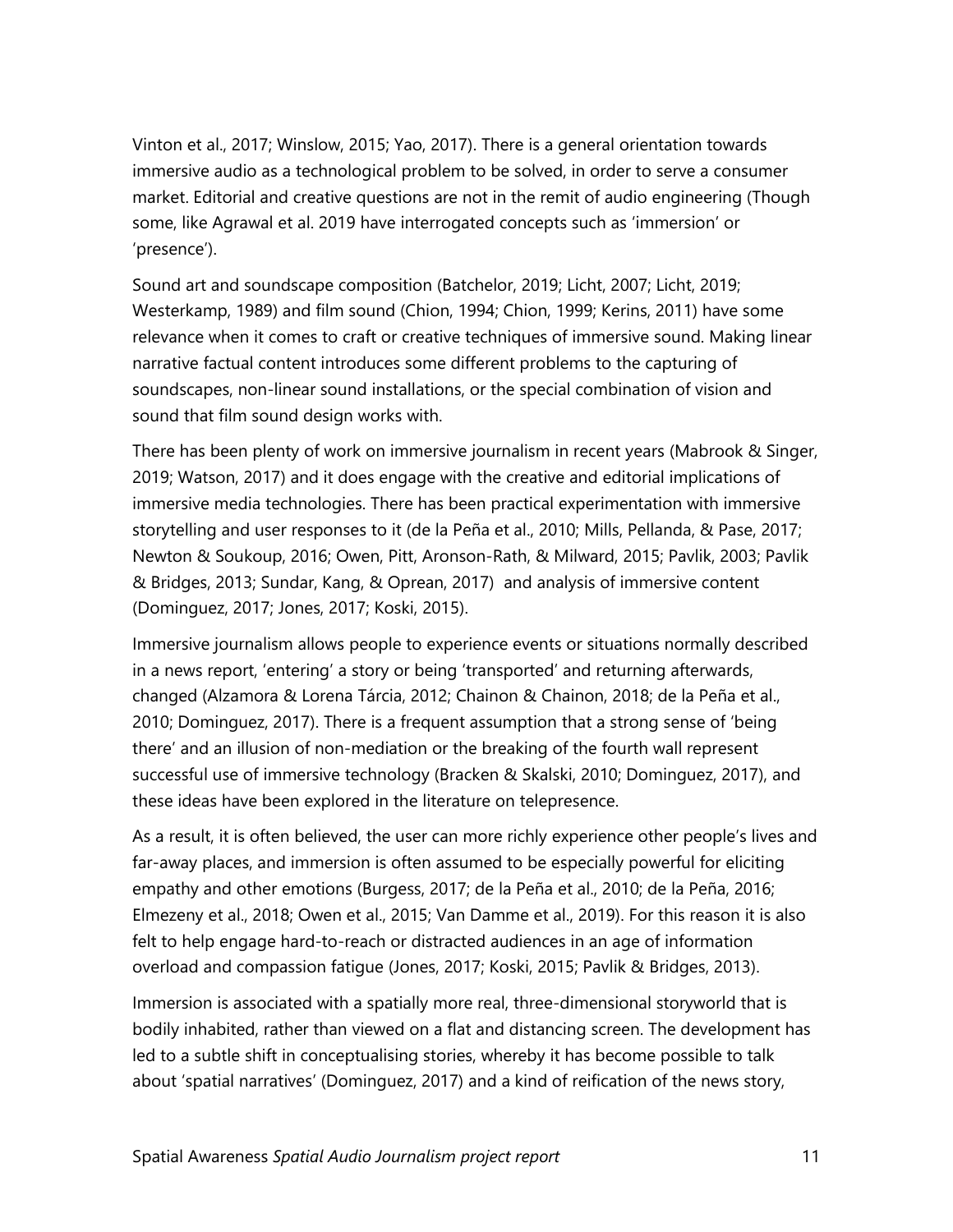Vinton et al., 2017; Winslow, 2015; Yao, 2017). There is a general orientation towards immersive audio as a technological problem to be solved, in order to serve a consumer market. Editorial and creative questions are not in the remit of audio engineering (Though some, like Agrawal et al. 2019 have interrogated concepts such as 'immersion' or 'presence').

Sound art and soundscape composition (Batchelor, 2019; Licht, 2007; Licht, 2019; Westerkamp, 1989) and film sound (Chion, 1994; Chion, 1999; Kerins, 2011) have some relevance when it comes to craft or creative techniques of immersive sound. Making linear narrative factual content introduces some different problems to the capturing of soundscapes, non-linear sound installations, or the special combination of vision and sound that film sound design works with.

There has been plenty of work on immersive journalism in recent years (Mabrook & Singer, 2019; Watson, 2017) and it does engage with the creative and editorial implications of immersive media technologies. There has been practical experimentation with immersive storytelling and user responses to it (de la Peña et al., 2010; Mills, Pellanda, & Pase, 2017; Newton & Soukoup, 2016; Owen, Pitt, Aronson-Rath, & Milward, 2015; Pavlik, 2003; Pavlik & Bridges, 2013; Sundar, Kang, & Oprean, 2017) and analysis of immersive content (Dominguez, 2017; Jones, 2017; Koski, 2015).

Immersive journalism allows people to experience events or situations normally described in a news report, 'entering' a story or being 'transported' and returning afterwards, changed (Alzamora & Lorena Tárcia, 2012; Chainon & Chainon, 2018; de la Peña et al., 2010; Dominguez, 2017). There is a frequent assumption that a strong sense of 'being there' and an illusion of non-mediation or the breaking of the fourth wall represent successful use of immersive technology (Bracken & Skalski, 2010; Dominguez, 2017), and these ideas have been explored in the literature on telepresence.

As a result, it is often believed, the user can more richly experience other people's lives and far-away places, and immersion is often assumed to be especially powerful for eliciting empathy and other emotions (Burgess, 2017; de la Peña et al., 2010; de la Peña, 2016; Elmezeny et al., 2018; Owen et al., 2015; Van Damme et al., 2019). For this reason it is also felt to help engage hard-to-reach or distracted audiences in an age of information overload and compassion fatigue (Jones, 2017; Koski, 2015; Pavlik & Bridges, 2013).

Immersion is associated with a spatially more real, three-dimensional storyworld that is bodily inhabited, rather than viewed on a flat and distancing screen. The development has led to a subtle shift in conceptualising stories, whereby it has become possible to talk about 'spatial narratives' (Dominguez, 2017) and a kind of reification of the news story,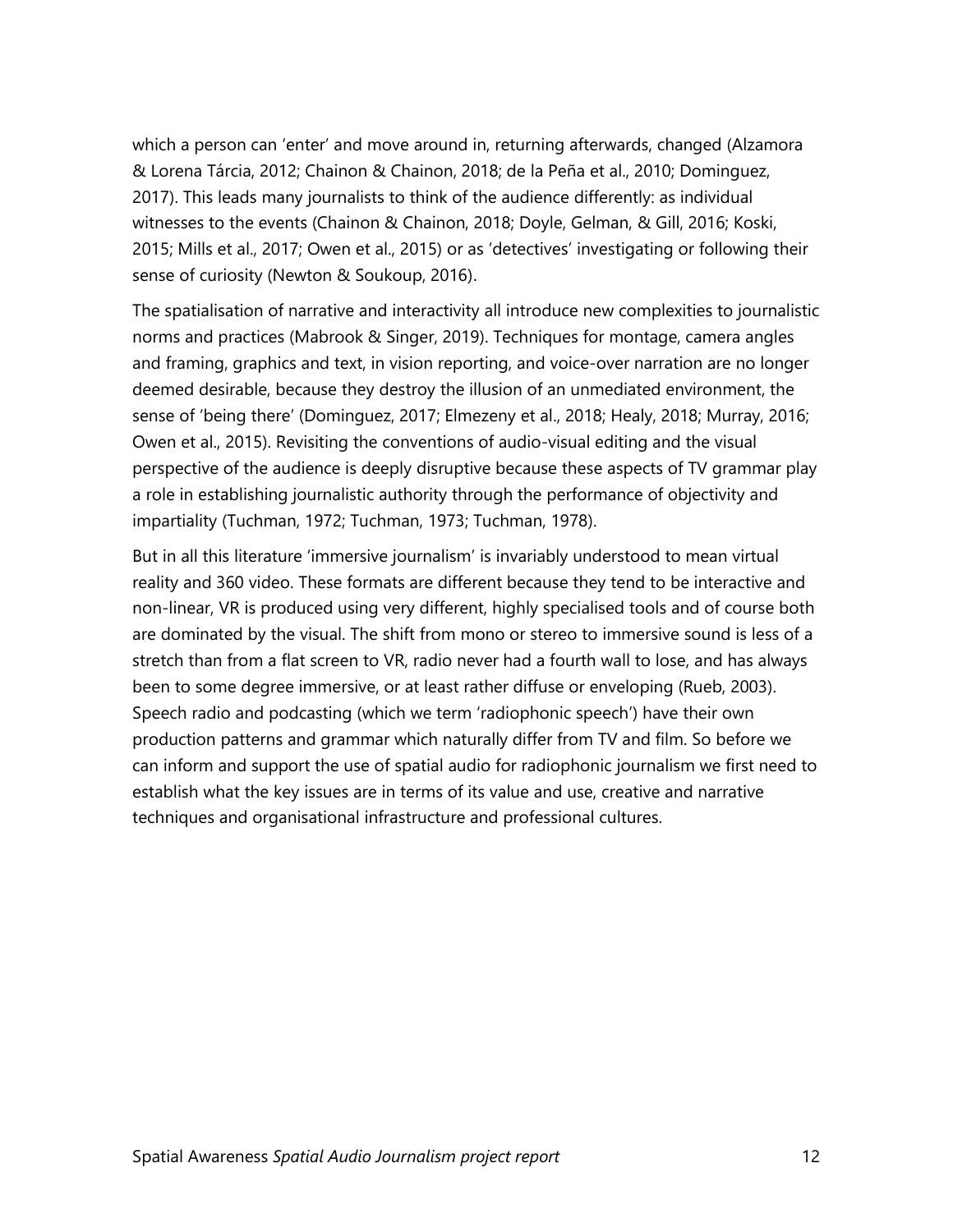which a person can 'enter' and move around in, returning afterwards, changed (Alzamora & Lorena Tárcia, 2012; Chainon & Chainon, 2018; de la Peña et al., 2010; Dominguez, 2017). This leads many journalists to think of the audience differently: as individual witnesses to the events (Chainon & Chainon, 2018; Doyle, Gelman, & Gill, 2016; Koski, 2015; Mills et al., 2017; Owen et al., 2015) or as 'detectives' investigating or following their sense of curiosity (Newton & Soukoup, 2016).

The spatialisation of narrative and interactivity all introduce new complexities to journalistic norms and practices (Mabrook & Singer, 2019). Techniques for montage, camera angles and framing, graphics and text, in vision reporting, and voice-over narration are no longer deemed desirable, because they destroy the illusion of an unmediated environment, the sense of 'being there' (Dominguez, 2017; Elmezeny et al., 2018; Healy, 2018; Murray, 2016; Owen et al., 2015). Revisiting the conventions of audio-visual editing and the visual perspective of the audience is deeply disruptive because these aspects of TV grammar play a role in establishing journalistic authority through the performance of objectivity and impartiality (Tuchman, 1972; Tuchman, 1973; Tuchman, 1978).

<span id="page-11-0"></span>But in all this literature 'immersive journalism' is invariably understood to mean virtual reality and 360 video. These formats are different because they tend to be interactive and non-linear, VR is produced using very different, highly specialised tools and of course both are dominated by the visual. The shift from mono or stereo to immersive sound is less of a stretch than from a flat screen to VR, radio never had a fourth wall to lose, and has always been to some degree immersive, or at least rather diffuse or enveloping (Rueb, 2003). Speech radio and podcasting (which we term 'radiophonic speech') have their own production patterns and grammar which naturally differ from TV and film. So before we can inform and support the use of spatial audio for radiophonic journalism we first need to establish what the key issues are in terms of its value and use, creative and narrative techniques and organisational infrastructure and professional cultures.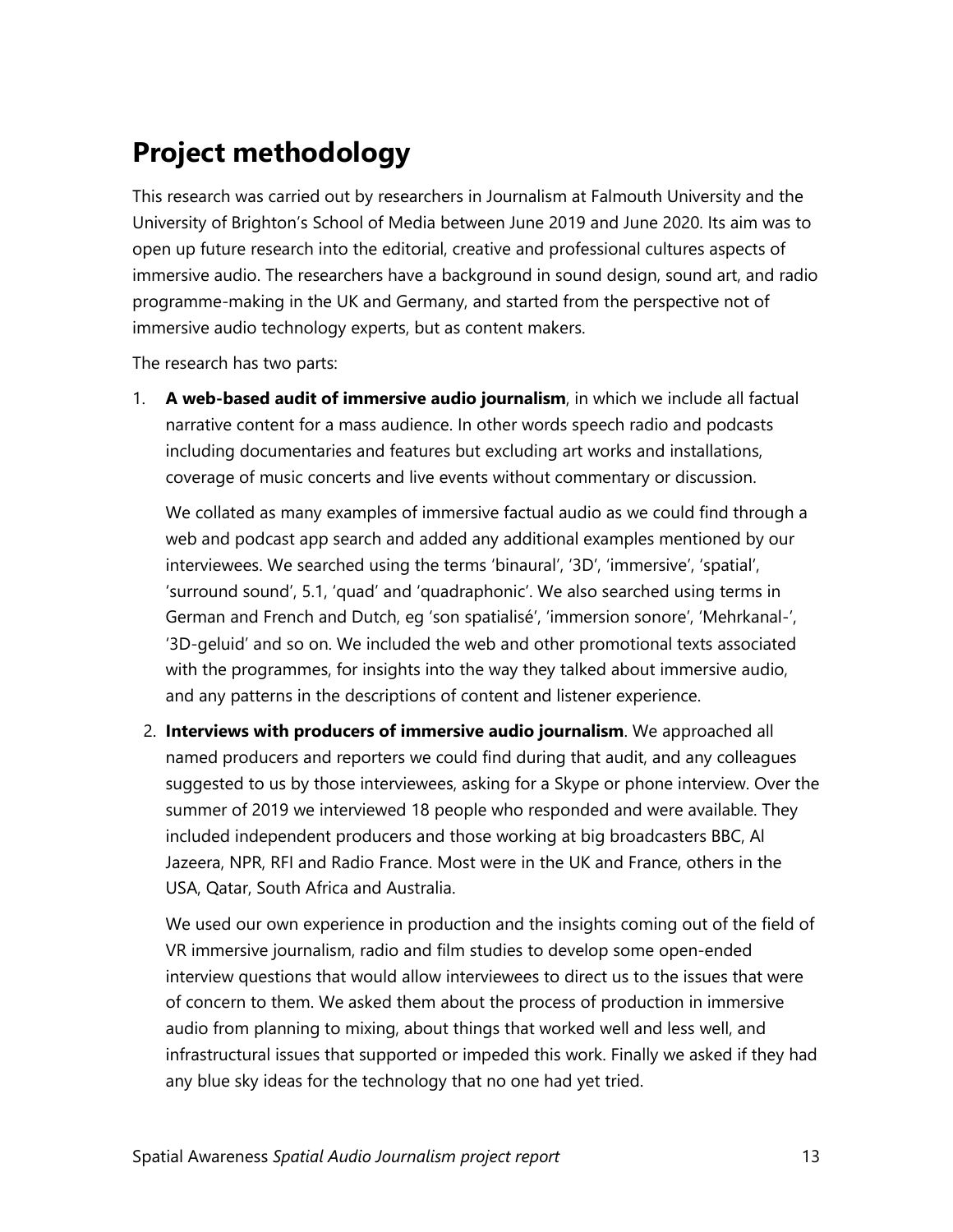### **Project methodology**

This research was carried out by researchers in Journalism at Falmouth University and the University of Brighton's School of Media between June 2019 and June 2020. Its aim was to open up future research into the editorial, creative and professional cultures aspects of immersive audio. The researchers have a background in sound design, sound art, and radio programme-making in the UK and Germany, and started from the perspective not of immersive audio technology experts, but as content makers.

The research has two parts:

1. **A web-based audit of immersive audio journalism**, in which we include all factual narrative content for a mass audience. In other words speech radio and podcasts including documentaries and features but excluding art works and installations, coverage of music concerts and live events without commentary or discussion.

We collated as many examples of immersive factual audio as we could find through a web and podcast app search and added any additional examples mentioned by our interviewees. We searched using the terms 'binaural', '3D', 'immersive', 'spatial', 'surround sound', 5.1, 'quad' and 'quadraphonic'. We also searched using terms in German and French and Dutch, eg 'son spatialisé', 'immersion sonore', 'Mehrkanal-', '3D-geluid' and so on. We included the web and other promotional texts associated with the programmes, for insights into the way they talked about immersive audio, and any patterns in the descriptions of content and listener experience.

2. **Interviews with producers of immersive audio journalism**. We approached all named producers and reporters we could find during that audit, and any colleagues suggested to us by those interviewees, asking for a Skype or phone interview. Over the summer of 2019 we interviewed 18 people who responded and were available. They included independent producers and those working at big broadcasters BBC, Al Jazeera, NPR, RFI and Radio France. Most were in the UK and France, others in the USA, Qatar, South Africa and Australia.

We used our own experience in production and the insights coming out of the field of VR immersive journalism, radio and film studies to develop some open-ended interview questions that would allow interviewees to direct us to the issues that were of concern to them. We asked them about the process of production in immersive audio from planning to mixing, about things that worked well and less well, and infrastructural issues that supported or impeded this work. Finally we asked if they had any blue sky ideas for the technology that no one had yet tried.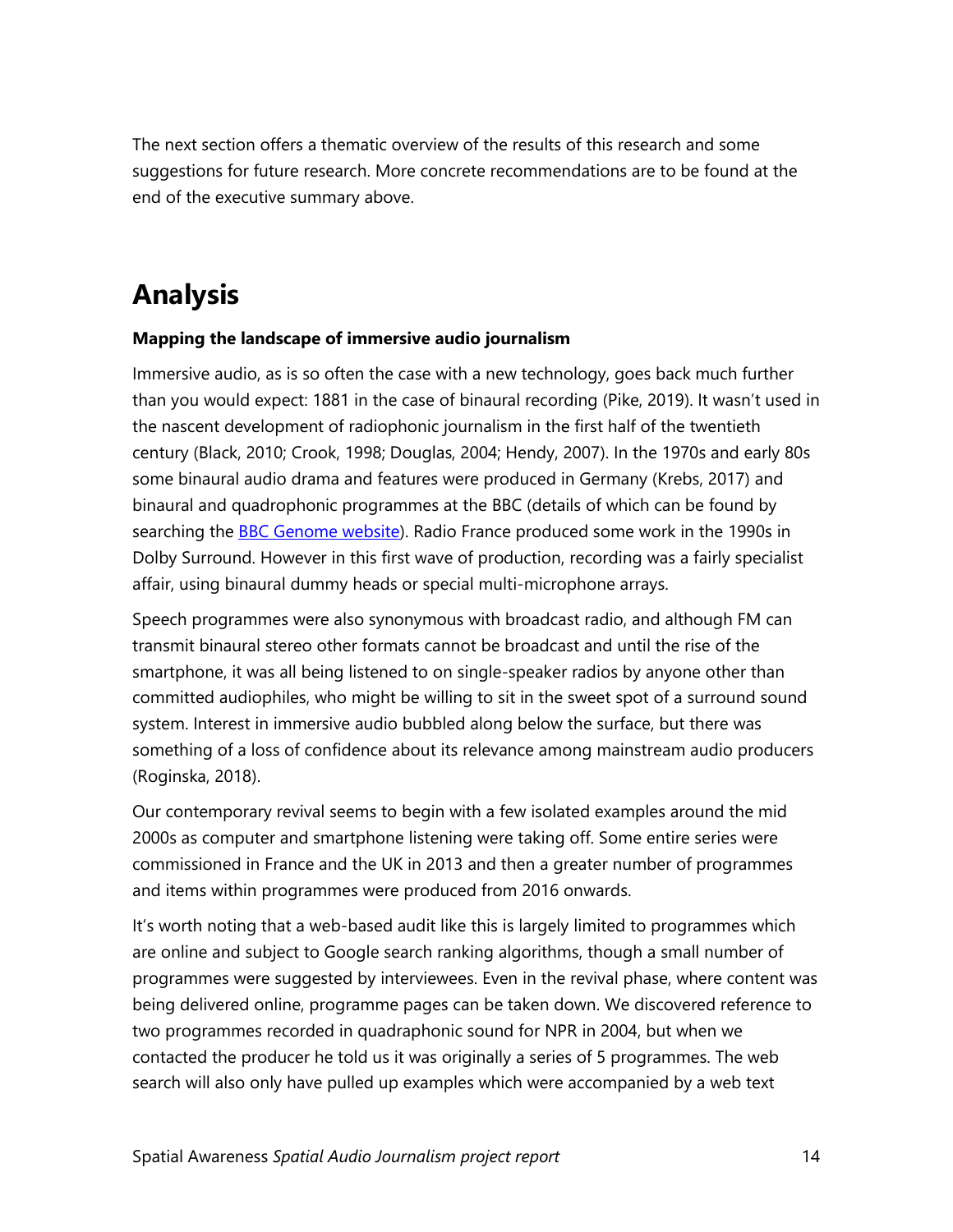The next section offers a thematic overview of the results of this research and some suggestions for future research. More concrete recommendations are to be found at the end of the executive summary above.

### <span id="page-13-0"></span>**Analysis**

#### <span id="page-13-1"></span>**Mapping the landscape of immersive audio journalism**

Immersive audio, as is so often the case with a new technology, goes back much further than you would expect: 1881 in the case of binaural recording (Pike, 2019). It wasn't used in the nascent development of radiophonic journalism in the first half of the twentieth century (Black, 2010; Crook, 1998; Douglas, 2004; Hendy, 2007). In the 1970s and early 80s some binaural audio drama and features were produced in Germany (Krebs, 2017) and binaural and quadrophonic programmes at the BBC (details of which can be found by searching the [BBC Genome website\)](https://genome.ch.bbc.co.uk/). Radio France produced some work in the 1990s in Dolby Surround. However in this first wave of production, recording was a fairly specialist affair, using binaural dummy heads or special multi-microphone arrays.

Speech programmes were also synonymous with broadcast radio, and although FM can transmit binaural stereo other formats cannot be broadcast and until the rise of the smartphone, it was all being listened to on single-speaker radios by anyone other than committed audiophiles, who might be willing to sit in the sweet spot of a surround sound system. Interest in immersive audio bubbled along below the surface, but there was something of a loss of confidence about its relevance among mainstream audio producers (Roginska, 2018).

Our contemporary revival seems to begin with a few isolated examples around the mid 2000s as computer and smartphone listening were taking off. Some entire series were commissioned in France and the UK in 2013 and then a greater number of programmes and items within programmes were produced from 2016 onwards.

It's worth noting that a web-based audit like this is largely limited to programmes which are online and subject to Google search ranking algorithms, though a small number of programmes were suggested by interviewees. Even in the revival phase, where content was being delivered online, programme pages can be taken down. We discovered reference to two programmes recorded in quadraphonic sound for NPR in 2004, but when we contacted the producer he told us it was originally a series of 5 programmes. The web search will also only have pulled up examples which were accompanied by a web text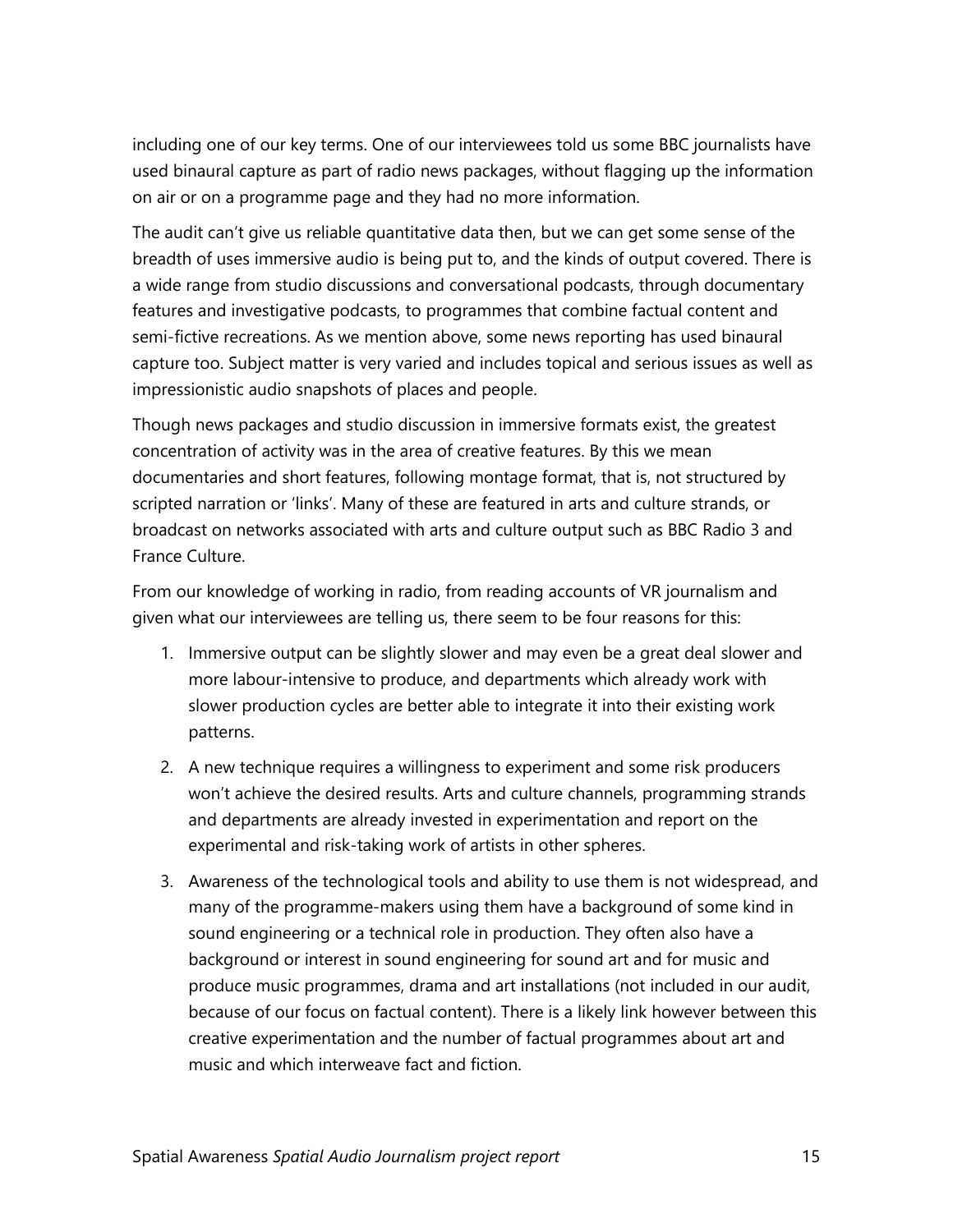including one of our key terms. One of our interviewees told us some BBC journalists have used binaural capture as part of radio news packages, without flagging up the information on air or on a programme page and they had no more information.

The audit can't give us reliable quantitative data then, but we can get some sense of the breadth of uses immersive audio is being put to, and the kinds of output covered. There is a wide range from studio discussions and conversational podcasts, through documentary features and investigative podcasts, to programmes that combine factual content and semi-fictive recreations. As we mention above, some news reporting has used binaural capture too. Subject matter is very varied and includes topical and serious issues as well as impressionistic audio snapshots of places and people.

Though news packages and studio discussion in immersive formats exist, the greatest concentration of activity was in the area of creative features. By this we mean documentaries and short features, following montage format, that is, not structured by scripted narration or 'links'. Many of these are featured in arts and culture strands, or broadcast on networks associated with arts and culture output such as BBC Radio 3 and France Culture.

From our knowledge of working in radio, from reading accounts of VR journalism and given what our interviewees are telling us, there seem to be four reasons for this:

- 1. Immersive output can be slightly slower and may even be a great deal slower and more labour-intensive to produce, and departments which already work with slower production cycles are better able to integrate it into their existing work patterns.
- 2. A new technique requires a willingness to experiment and some risk producers won't achieve the desired results. Arts and culture channels, programming strands and departments are already invested in experimentation and report on the experimental and risk-taking work of artists in other spheres.
- 3. Awareness of the technological tools and ability to use them is not widespread, and many of the programme-makers using them have a background of some kind in sound engineering or a technical role in production. They often also have a background or interest in sound engineering for sound art and for music and produce music programmes, drama and art installations (not included in our audit, because of our focus on factual content). There is a likely link however between this creative experimentation and the number of factual programmes about art and music and which interweave fact and fiction.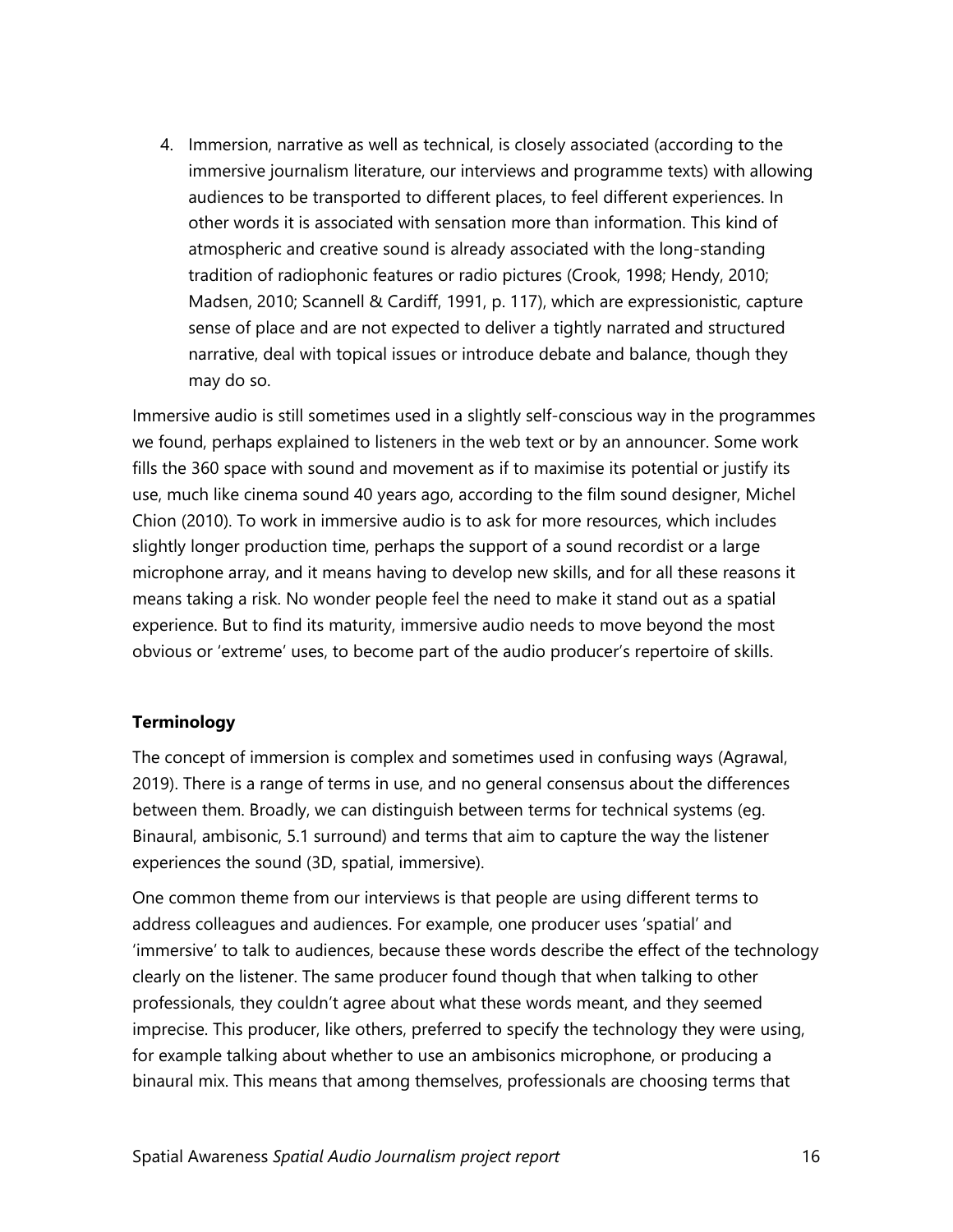4. Immersion, narrative as well as technical, is closely associated (according to the immersive journalism literature, our interviews and programme texts) with allowing audiences to be transported to different places, to feel different experiences. In other words it is associated with sensation more than information. This kind of atmospheric and creative sound is already associated with the long-standing tradition of radiophonic features or radio pictures (Crook, 1998; Hendy, 2010; Madsen, 2010; Scannell & Cardiff, 1991, p. 117), which are expressionistic, capture sense of place and are not expected to deliver a tightly narrated and structured narrative, deal with topical issues or introduce debate and balance, though they may do so.

Immersive audio is still sometimes used in a slightly self-conscious way in the programmes we found, perhaps explained to listeners in the web text or by an announcer. Some work fills the 360 space with sound and movement as if to maximise its potential or justify its use, much like cinema sound 40 years ago, according to the film sound designer, Michel Chion (2010). To work in immersive audio is to ask for more resources, which includes slightly longer production time, perhaps the support of a sound recordist or a large microphone array, and it means having to develop new skills, and for all these reasons it means taking a risk. No wonder people feel the need to make it stand out as a spatial experience. But to find its maturity, immersive audio needs to move beyond the most obvious or 'extreme' uses, to become part of the audio producer's repertoire of skills.

#### <span id="page-15-0"></span>**Terminology**

The concept of immersion is complex and sometimes used in confusing ways (Agrawal, 2019). There is a range of terms in use, and no general consensus about the differences between them. Broadly, we can distinguish between terms for technical systems (eg. Binaural, ambisonic, 5.1 surround) and terms that aim to capture the way the listener experiences the sound (3D, spatial, immersive).

One common theme from our interviews is that people are using different terms to address colleagues and audiences. For example, one producer uses 'spatial' and 'immersive' to talk to audiences, because these words describe the effect of the technology clearly on the listener. The same producer found though that when talking to other professionals, they couldn't agree about what these words meant, and they seemed imprecise. This producer, like others, preferred to specify the technology they were using, for example talking about whether to use an ambisonics microphone, or producing a binaural mix. This means that among themselves, professionals are choosing terms that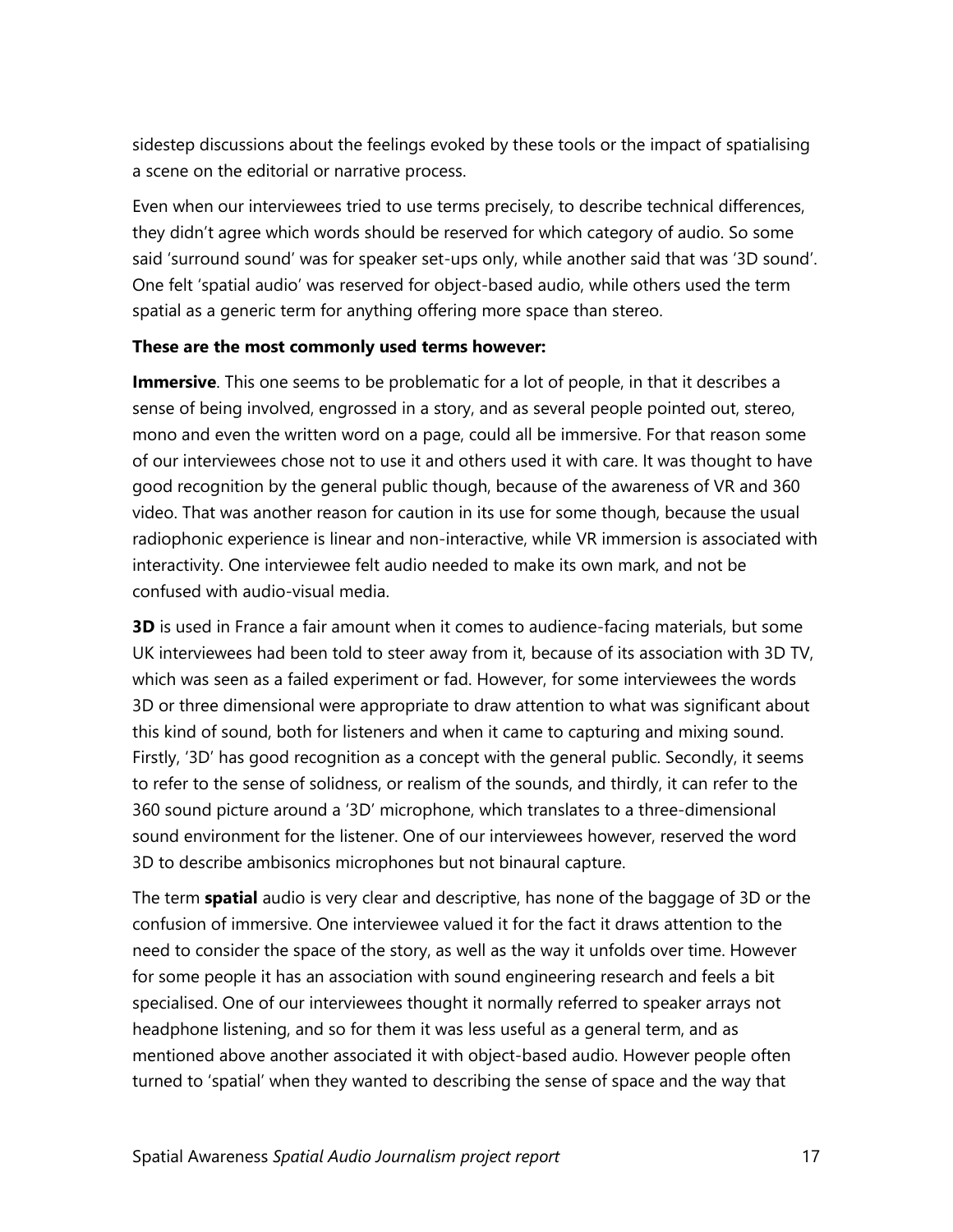sidestep discussions about the feelings evoked by these tools or the impact of spatialising a scene on the editorial or narrative process.

Even when our interviewees tried to use terms precisely, to describe technical differences, they didn't agree which words should be reserved for which category of audio. So some said 'surround sound' was for speaker set-ups only, while another said that was '3D sound'. One felt 'spatial audio' was reserved for object-based audio, while others used the term spatial as a generic term for anything offering more space than stereo.

#### **These are the most commonly used terms however:**

**Immersive**. This one seems to be problematic for a lot of people, in that it describes a sense of being involved, engrossed in a story, and as several people pointed out, stereo, mono and even the written word on a page, could all be immersive. For that reason some of our interviewees chose not to use it and others used it with care. It was thought to have good recognition by the general public though, because of the awareness of VR and 360 video. That was another reason for caution in its use for some though, because the usual radiophonic experience is linear and non-interactive, while VR immersion is associated with interactivity. One interviewee felt audio needed to make its own mark, and not be confused with audio-visual media.

**3D** is used in France a fair amount when it comes to audience-facing materials, but some UK interviewees had been told to steer away from it, because of its association with 3D TV, which was seen as a failed experiment or fad. However, for some interviewees the words 3D or three dimensional were appropriate to draw attention to what was significant about this kind of sound, both for listeners and when it came to capturing and mixing sound. Firstly, '3D' has good recognition as a concept with the general public. Secondly, it seems to refer to the sense of solidness, or realism of the sounds, and thirdly, it can refer to the 360 sound picture around a '3D' microphone, which translates to a three-dimensional sound environment for the listener. One of our interviewees however, reserved the word 3D to describe ambisonics microphones but not binaural capture.

The term **spatial** audio is very clear and descriptive, has none of the baggage of 3D or the confusion of immersive. One interviewee valued it for the fact it draws attention to the need to consider the space of the story, as well as the way it unfolds over time. However for some people it has an association with sound engineering research and feels a bit specialised. One of our interviewees thought it normally referred to speaker arrays not headphone listening, and so for them it was less useful as a general term, and as mentioned above another associated it with object-based audio. However people often turned to 'spatial' when they wanted to describing the sense of space and the way that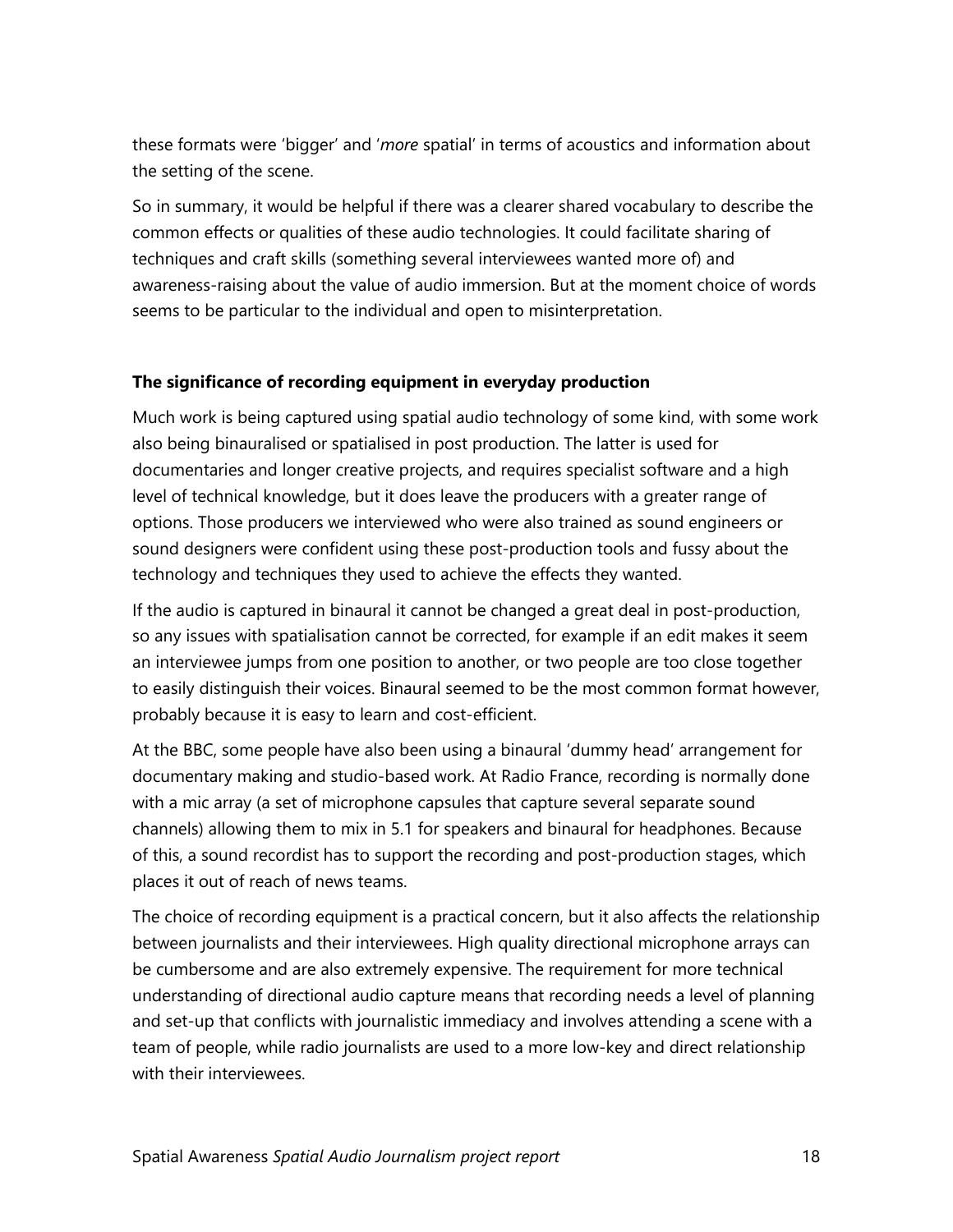these formats were 'bigger' and '*more* spatial' in terms of acoustics and information about the setting of the scene.

So in summary, it would be helpful if there was a clearer shared vocabulary to describe the common effects or qualities of these audio technologies. It could facilitate sharing of techniques and craft skills (something several interviewees wanted more of) and awareness-raising about the value of audio immersion. But at the moment choice of words seems to be particular to the individual and open to misinterpretation.

#### <span id="page-17-0"></span>**The significance of recording equipment in everyday production**

Much work is being captured using spatial audio technology of some kind, with some work also being binauralised or spatialised in post production. The latter is used for documentaries and longer creative projects, and requires specialist software and a high level of technical knowledge, but it does leave the producers with a greater range of options. Those producers we interviewed who were also trained as sound engineers or sound designers were confident using these post-production tools and fussy about the technology and techniques they used to achieve the effects they wanted.

If the audio is captured in binaural it cannot be changed a great deal in post-production, so any issues with spatialisation cannot be corrected, for example if an edit makes it seem an interviewee jumps from one position to another, or two people are too close together to easily distinguish their voices. Binaural seemed to be the most common format however, probably because it is easy to learn and cost-efficient.

At the BBC, some people have also been using a binaural 'dummy head' arrangement for documentary making and studio-based work. At Radio France, recording is normally done with a mic array (a set of microphone capsules that capture several separate sound channels) allowing them to mix in 5.1 for speakers and binaural for headphones. Because of this, a sound recordist has to support the recording and post-production stages, which places it out of reach of news teams.

The choice of recording equipment is a practical concern, but it also affects the relationship between journalists and their interviewees. High quality directional microphone arrays can be cumbersome and are also extremely expensive. The requirement for more technical understanding of directional audio capture means that recording needs a level of planning and set-up that conflicts with journalistic immediacy and involves attending a scene with a team of people, while radio journalists are used to a more low-key and direct relationship with their interviewees.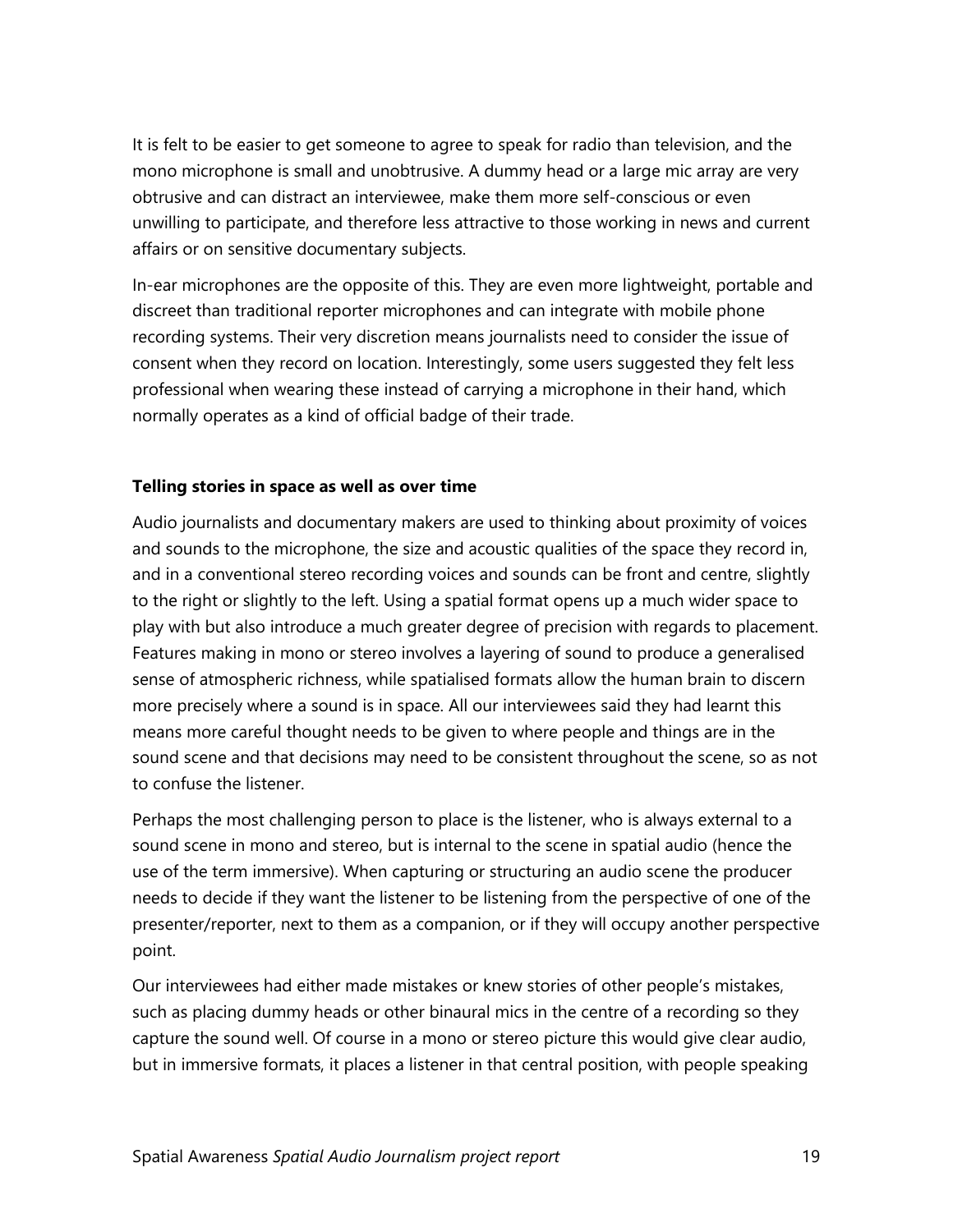It is felt to be easier to get someone to agree to speak for radio than television, and the mono microphone is small and unobtrusive. A dummy head or a large mic array are very obtrusive and can distract an interviewee, make them more self-conscious or even unwilling to participate, and therefore less attractive to those working in news and current affairs or on sensitive documentary subjects.

In-ear microphones are the opposite of this. They are even more lightweight, portable and discreet than traditional reporter microphones and can integrate with mobile phone recording systems. Their very discretion means journalists need to consider the issue of consent when they record on location. Interestingly, some users suggested they felt less professional when wearing these instead of carrying a microphone in their hand, which normally operates as a kind of official badge of their trade.

#### <span id="page-18-0"></span>**Telling stories in space as well as over time**

Audio journalists and documentary makers are used to thinking about proximity of voices and sounds to the microphone, the size and acoustic qualities of the space they record in, and in a conventional stereo recording voices and sounds can be front and centre, slightly to the right or slightly to the left. Using a spatial format opens up a much wider space to play with but also introduce a much greater degree of precision with regards to placement. Features making in mono or stereo involves a layering of sound to produce a generalised sense of atmospheric richness, while spatialised formats allow the human brain to discern more precisely where a sound is in space. All our interviewees said they had learnt this means more careful thought needs to be given to where people and things are in the sound scene and that decisions may need to be consistent throughout the scene, so as not to confuse the listener.

Perhaps the most challenging person to place is the listener, who is always external to a sound scene in mono and stereo, but is internal to the scene in spatial audio (hence the use of the term immersive). When capturing or structuring an audio scene the producer needs to decide if they want the listener to be listening from the perspective of one of the presenter/reporter, next to them as a companion, or if they will occupy another perspective point.

Our interviewees had either made mistakes or knew stories of other people's mistakes, such as placing dummy heads or other binaural mics in the centre of a recording so they capture the sound well. Of course in a mono or stereo picture this would give clear audio, but in immersive formats, it places a listener in that central position, with people speaking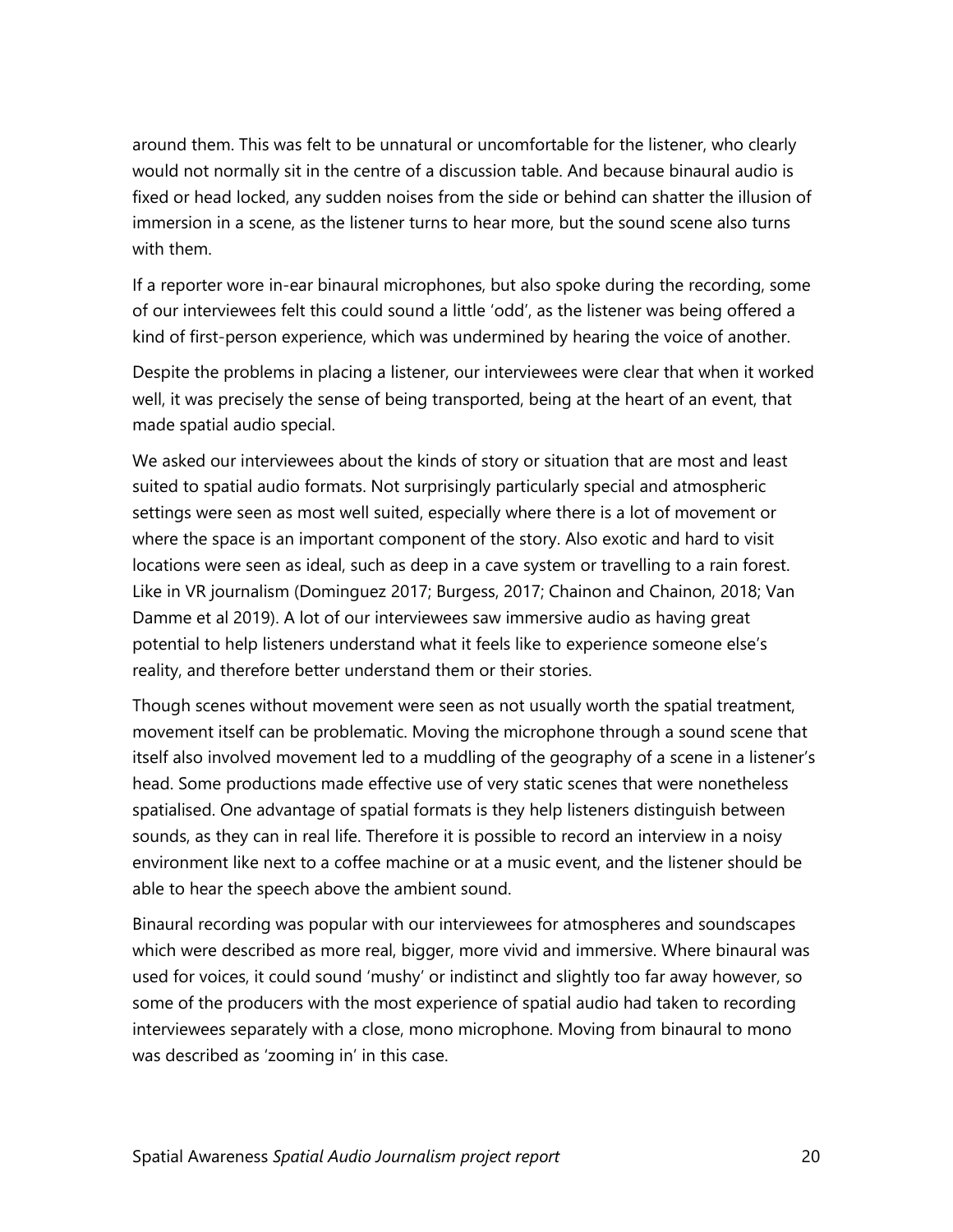around them. This was felt to be unnatural or uncomfortable for the listener, who clearly would not normally sit in the centre of a discussion table. And because binaural audio is fixed or head locked, any sudden noises from the side or behind can shatter the illusion of immersion in a scene, as the listener turns to hear more, but the sound scene also turns with them.

If a reporter wore in-ear binaural microphones, but also spoke during the recording, some of our interviewees felt this could sound a little 'odd', as the listener was being offered a kind of first-person experience, which was undermined by hearing the voice of another.

Despite the problems in placing a listener, our interviewees were clear that when it worked well, it was precisely the sense of being transported, being at the heart of an event, that made spatial audio special.

We asked our interviewees about the kinds of story or situation that are most and least suited to spatial audio formats. Not surprisingly particularly special and atmospheric settings were seen as most well suited, especially where there is a lot of movement or where the space is an important component of the story. Also exotic and hard to visit locations were seen as ideal, such as deep in a cave system or travelling to a rain forest. Like in VR journalism (Dominguez 2017; Burgess, 2017; Chainon and Chainon, 2018; Van Damme et al 2019). A lot of our interviewees saw immersive audio as having great potential to help listeners understand what it feels like to experience someone else's reality, and therefore better understand them or their stories.

Though scenes without movement were seen as not usually worth the spatial treatment, movement itself can be problematic. Moving the microphone through a sound scene that itself also involved movement led to a muddling of the geography of a scene in a listener's head. Some productions made effective use of very static scenes that were nonetheless spatialised. One advantage of spatial formats is they help listeners distinguish between sounds, as they can in real life. Therefore it is possible to record an interview in a noisy environment like next to a coffee machine or at a music event, and the listener should be able to hear the speech above the ambient sound.

Binaural recording was popular with our interviewees for atmospheres and soundscapes which were described as more real, bigger, more vivid and immersive. Where binaural was used for voices, it could sound 'mushy' or indistinct and slightly too far away however, so some of the producers with the most experience of spatial audio had taken to recording interviewees separately with a close, mono microphone. Moving from binaural to mono was described as 'zooming in' in this case.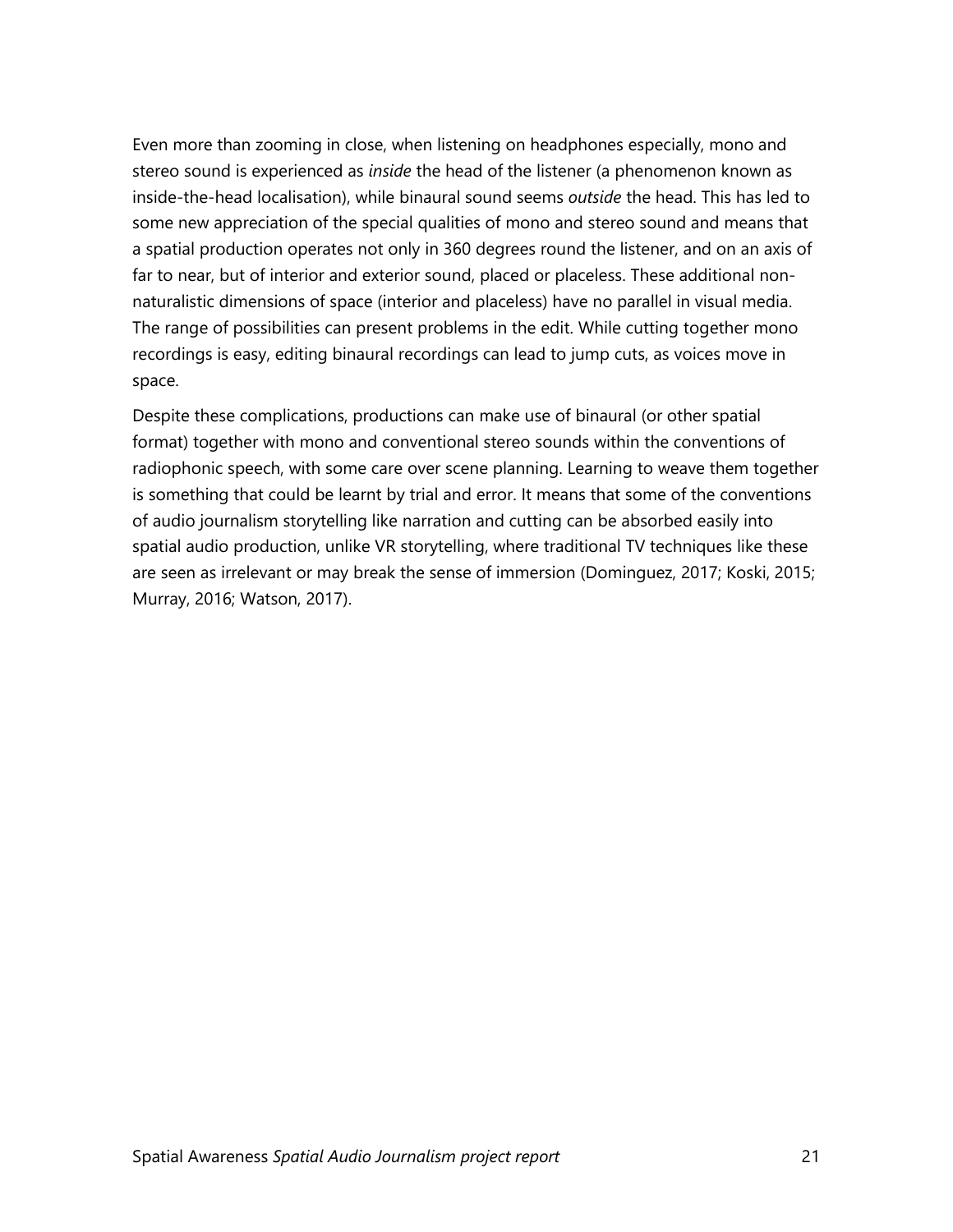Even more than zooming in close, when listening on headphones especially, mono and stereo sound is experienced as *inside* the head of the listener (a phenomenon known as inside-the-head localisation), while binaural sound seems *outside* the head. This has led to some new appreciation of the special qualities of mono and stereo sound and means that a spatial production operates not only in 360 degrees round the listener, and on an axis of far to near, but of interior and exterior sound, placed or placeless. These additional nonnaturalistic dimensions of space (interior and placeless) have no parallel in visual media. The range of possibilities can present problems in the edit. While cutting together mono recordings is easy, editing binaural recordings can lead to jump cuts, as voices move in space.

<span id="page-20-0"></span>Despite these complications, productions can make use of binaural (or other spatial format) together with mono and conventional stereo sounds within the conventions of radiophonic speech, with some care over scene planning. Learning to weave them together is something that could be learnt by trial and error. It means that some of the conventions of audio journalism storytelling like narration and cutting can be absorbed easily into spatial audio production, unlike VR storytelling, where traditional TV techniques like these are seen as irrelevant or may break the sense of immersion (Dominguez, 2017; Koski, 2015; Murray, 2016; Watson, 2017).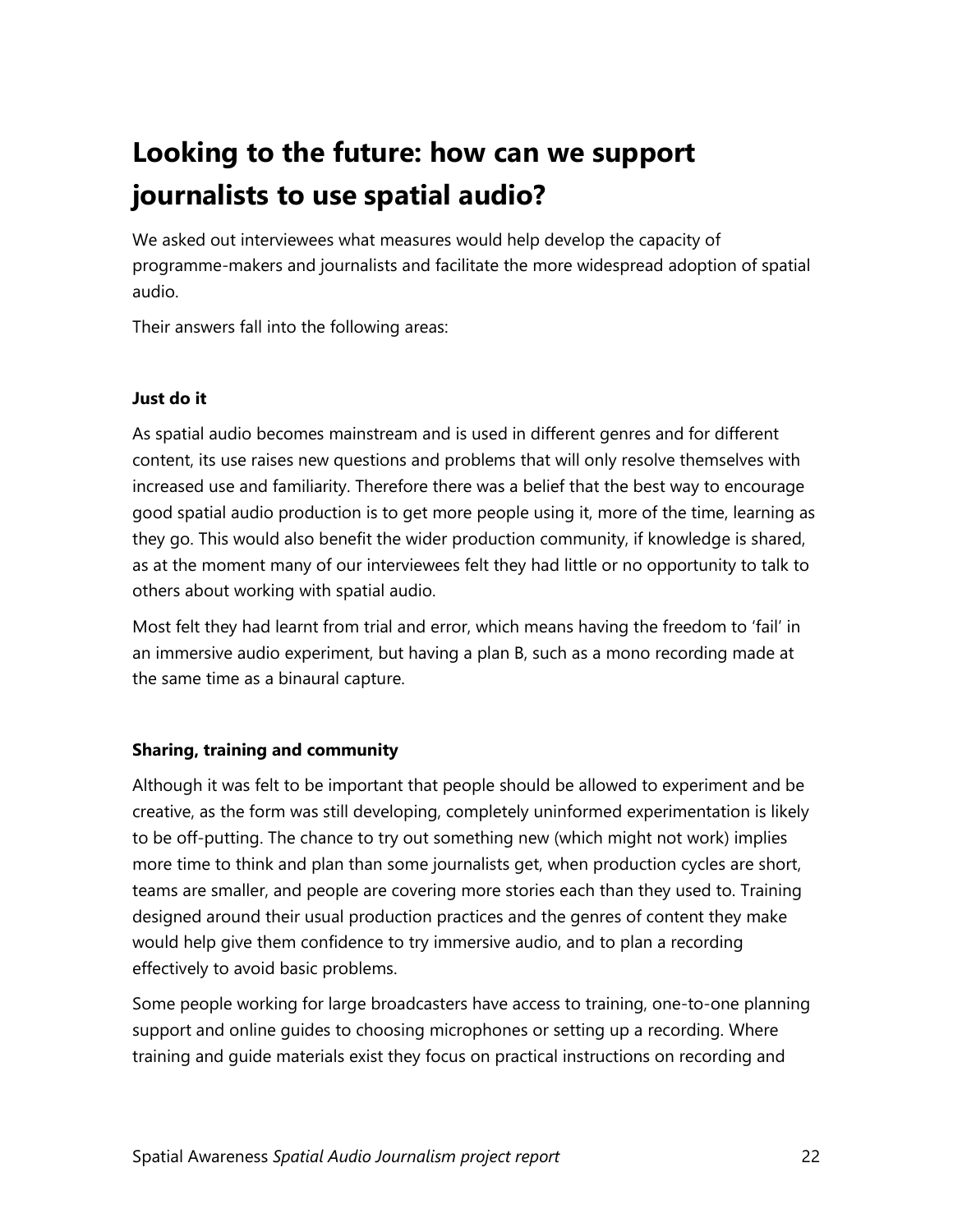### **Looking to the future: how can we support journalists to use spatial audio?**

We asked out interviewees what measures would help develop the capacity of programme-makers and journalists and facilitate the more widespread adoption of spatial audio.

Their answers fall into the following areas:

#### <span id="page-21-0"></span>**Just do it**

As spatial audio becomes mainstream and is used in different genres and for different content, its use raises new questions and problems that will only resolve themselves with increased use and familiarity. Therefore there was a belief that the best way to encourage good spatial audio production is to get more people using it, more of the time, learning as they go. This would also benefit the wider production community, if knowledge is shared, as at the moment many of our interviewees felt they had little or no opportunity to talk to others about working with spatial audio.

Most felt they had learnt from trial and error, which means having the freedom to 'fail' in an immersive audio experiment, but having a plan B, such as a mono recording made at the same time as a binaural capture.

#### <span id="page-21-1"></span>**Sharing, training and community**

Although it was felt to be important that people should be allowed to experiment and be creative, as the form was still developing, completely uninformed experimentation is likely to be off-putting. The chance to try out something new (which might not work) implies more time to think and plan than some journalists get, when production cycles are short, teams are smaller, and people are covering more stories each than they used to. Training designed around their usual production practices and the genres of content they make would help give them confidence to try immersive audio, and to plan a recording effectively to avoid basic problems.

Some people working for large broadcasters have access to training, one-to-one planning support and online guides to choosing microphones or setting up a recording. Where training and guide materials exist they focus on practical instructions on recording and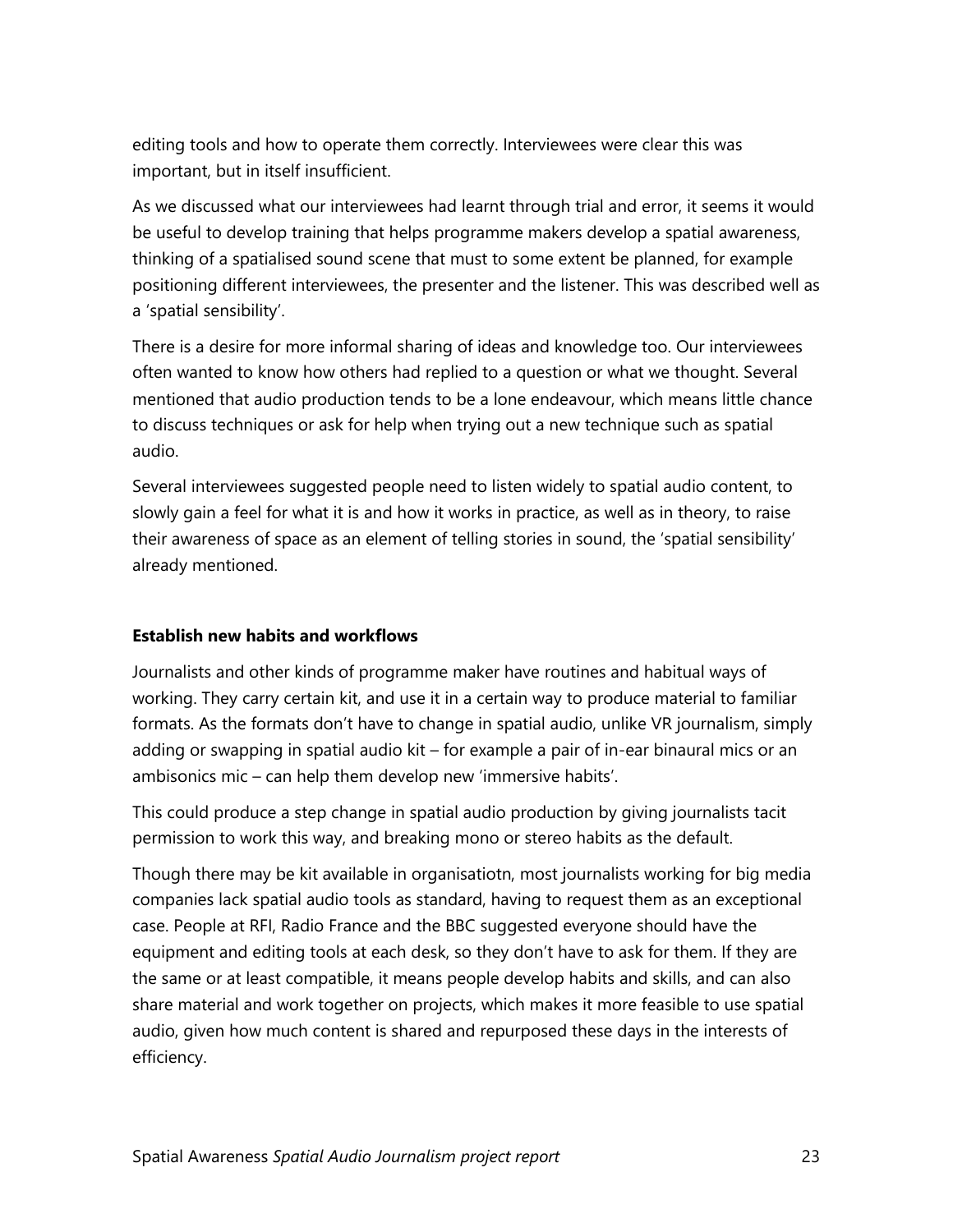editing tools and how to operate them correctly. Interviewees were clear this was important, but in itself insufficient.

As we discussed what our interviewees had learnt through trial and error, it seems it would be useful to develop training that helps programme makers develop a spatial awareness, thinking of a spatialised sound scene that must to some extent be planned, for example positioning different interviewees, the presenter and the listener. This was described well as a 'spatial sensibility'.

There is a desire for more informal sharing of ideas and knowledge too. Our interviewees often wanted to know how others had replied to a question or what we thought. Several mentioned that audio production tends to be a lone endeavour, which means little chance to discuss techniques or ask for help when trying out a new technique such as spatial audio.

Several interviewees suggested people need to listen widely to spatial audio content, to slowly gain a feel for what it is and how it works in practice, as well as in theory, to raise their awareness of space as an element of telling stories in sound, the 'spatial sensibility' already mentioned.

#### <span id="page-22-0"></span>**Establish new habits and workflows**

Journalists and other kinds of programme maker have routines and habitual ways of working. They carry certain kit, and use it in a certain way to produce material to familiar formats. As the formats don't have to change in spatial audio, unlike VR journalism, simply adding or swapping in spatial audio kit – for example a pair of in-ear binaural mics or an ambisonics mic – can help them develop new 'immersive habits'.

This could produce a step change in spatial audio production by giving journalists tacit permission to work this way, and breaking mono or stereo habits as the default.

Though there may be kit available in organisatiotn, most journalists working for big media companies lack spatial audio tools as standard, having to request them as an exceptional case. People at RFI, Radio France and the BBC suggested everyone should have the equipment and editing tools at each desk, so they don't have to ask for them. If they are the same or at least compatible, it means people develop habits and skills, and can also share material and work together on projects, which makes it more feasible to use spatial audio, given how much content is shared and repurposed these days in the interests of efficiency.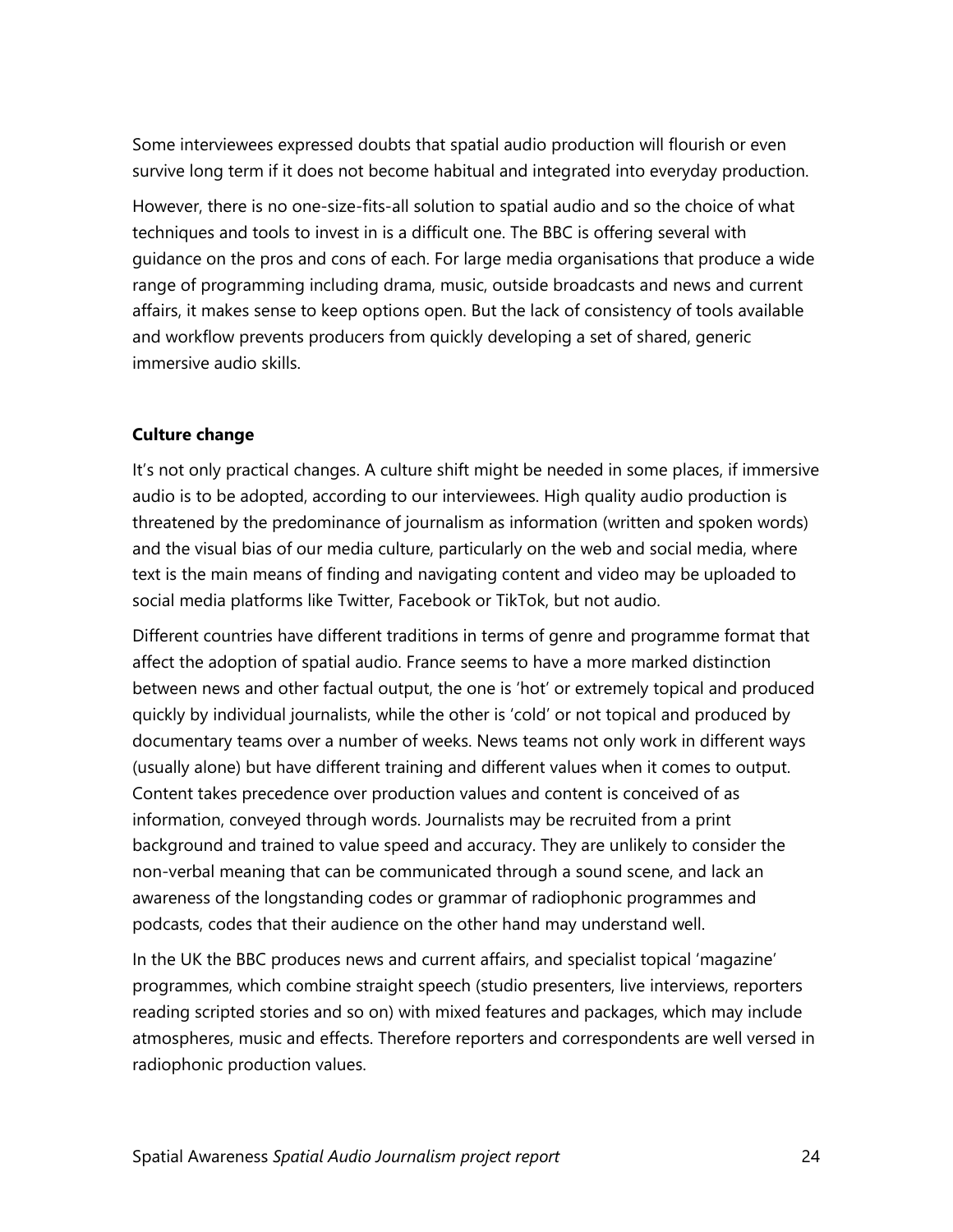Some interviewees expressed doubts that spatial audio production will flourish or even survive long term if it does not become habitual and integrated into everyday production.

However, there is no one-size-fits-all solution to spatial audio and so the choice of what techniques and tools to invest in is a difficult one. The BBC is offering several with guidance on the pros and cons of each. For large media organisations that produce a wide range of programming including drama, music, outside broadcasts and news and current affairs, it makes sense to keep options open. But the lack of consistency of tools available and workflow prevents producers from quickly developing a set of shared, generic immersive audio skills.

#### <span id="page-23-0"></span>**Culture change**

It's not only practical changes. A culture shift might be needed in some places, if immersive audio is to be adopted, according to our interviewees. High quality audio production is threatened by the predominance of journalism as information (written and spoken words) and the visual bias of our media culture, particularly on the web and social media, where text is the main means of finding and navigating content and video may be uploaded to social media platforms like Twitter, Facebook or TikTok, but not audio.

Different countries have different traditions in terms of genre and programme format that affect the adoption of spatial audio. France seems to have a more marked distinction between news and other factual output, the one is 'hot' or extremely topical and produced quickly by individual journalists, while the other is 'cold' or not topical and produced by documentary teams over a number of weeks. News teams not only work in different ways (usually alone) but have different training and different values when it comes to output. Content takes precedence over production values and content is conceived of as information, conveyed through words. Journalists may be recruited from a print background and trained to value speed and accuracy. They are unlikely to consider the non-verbal meaning that can be communicated through a sound scene, and lack an awareness of the longstanding codes or grammar of radiophonic programmes and podcasts, codes that their audience on the other hand may understand well.

In the UK the BBC produces news and current affairs, and specialist topical 'magazine' programmes, which combine straight speech (studio presenters, live interviews, reporters reading scripted stories and so on) with mixed features and packages, which may include atmospheres, music and effects. Therefore reporters and correspondents are well versed in radiophonic production values.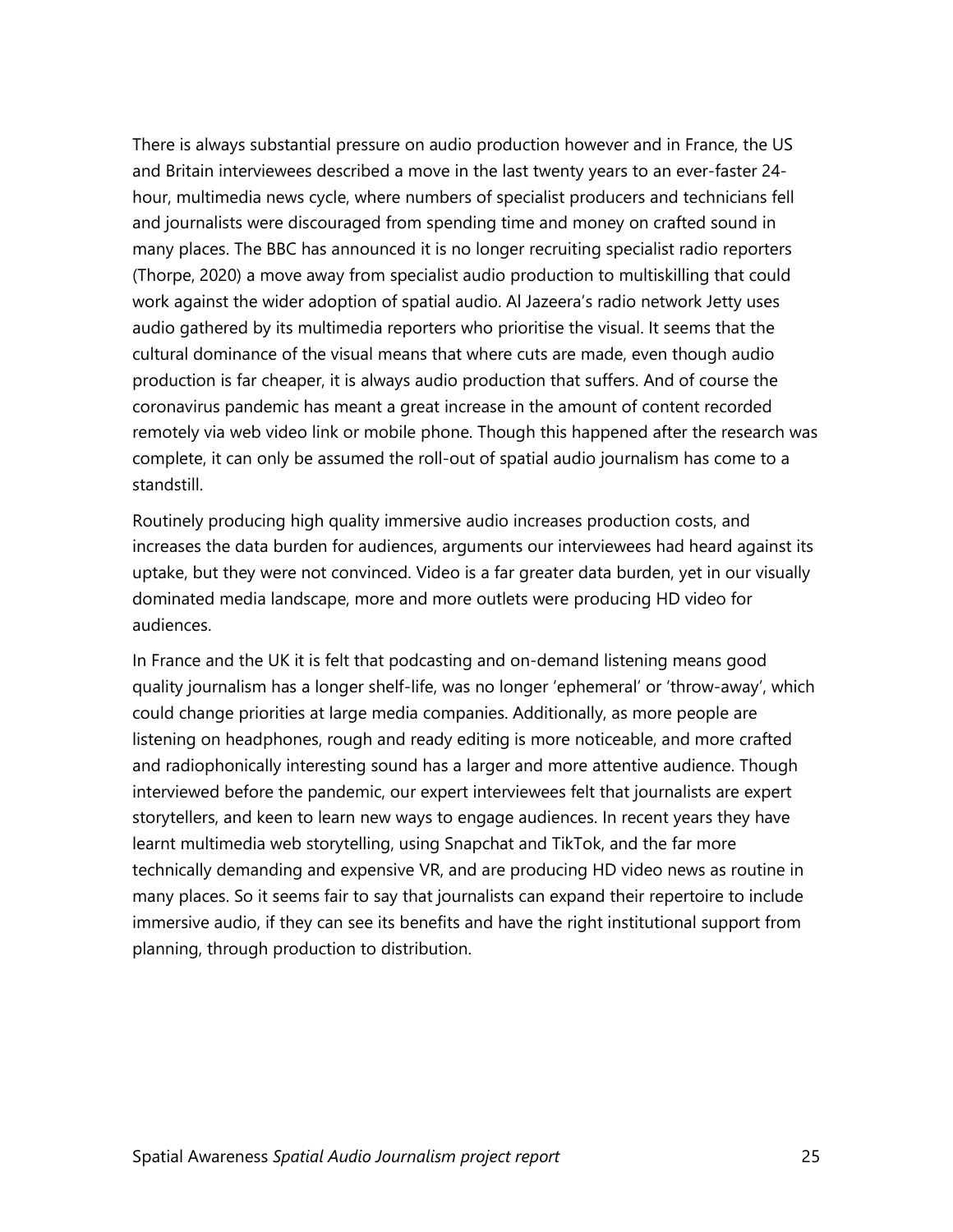There is always substantial pressure on audio production however and in France, the US and Britain interviewees described a move in the last twenty years to an ever-faster 24 hour, multimedia news cycle, where numbers of specialist producers and technicians fell and journalists were discouraged from spending time and money on crafted sound in many places. The BBC has announced it is no longer recruiting specialist radio reporters (Thorpe, 2020) a move away from specialist audio production to multiskilling that could work against the wider adoption of spatial audio. Al Jazeera's radio network Jetty uses audio gathered by its multimedia reporters who prioritise the visual. It seems that the cultural dominance of the visual means that where cuts are made, even though audio production is far cheaper, it is always audio production that suffers. And of course the coronavirus pandemic has meant a great increase in the amount of content recorded remotely via web video link or mobile phone. Though this happened after the research was complete, it can only be assumed the roll-out of spatial audio journalism has come to a standstill.

Routinely producing high quality immersive audio increases production costs, and increases the data burden for audiences, arguments our interviewees had heard against its uptake, but they were not convinced. Video is a far greater data burden, yet in our visually dominated media landscape, more and more outlets were producing HD video for audiences.

In France and the UK it is felt that podcasting and on-demand listening means good quality journalism has a longer shelf-life, was no longer 'ephemeral' or 'throw-away', which could change priorities at large media companies. Additionally, as more people are listening on headphones, rough and ready editing is more noticeable, and more crafted and radiophonically interesting sound has a larger and more attentive audience. Though interviewed before the pandemic, our expert interviewees felt that journalists are expert storytellers, and keen to learn new ways to engage audiences. In recent years they have learnt multimedia web storytelling, using Snapchat and TikTok, and the far more technically demanding and expensive VR, and are producing HD video news as routine in many places. So it seems fair to say that journalists can expand their repertoire to include immersive audio, if they can see its benefits and have the right institutional support from planning, through production to distribution.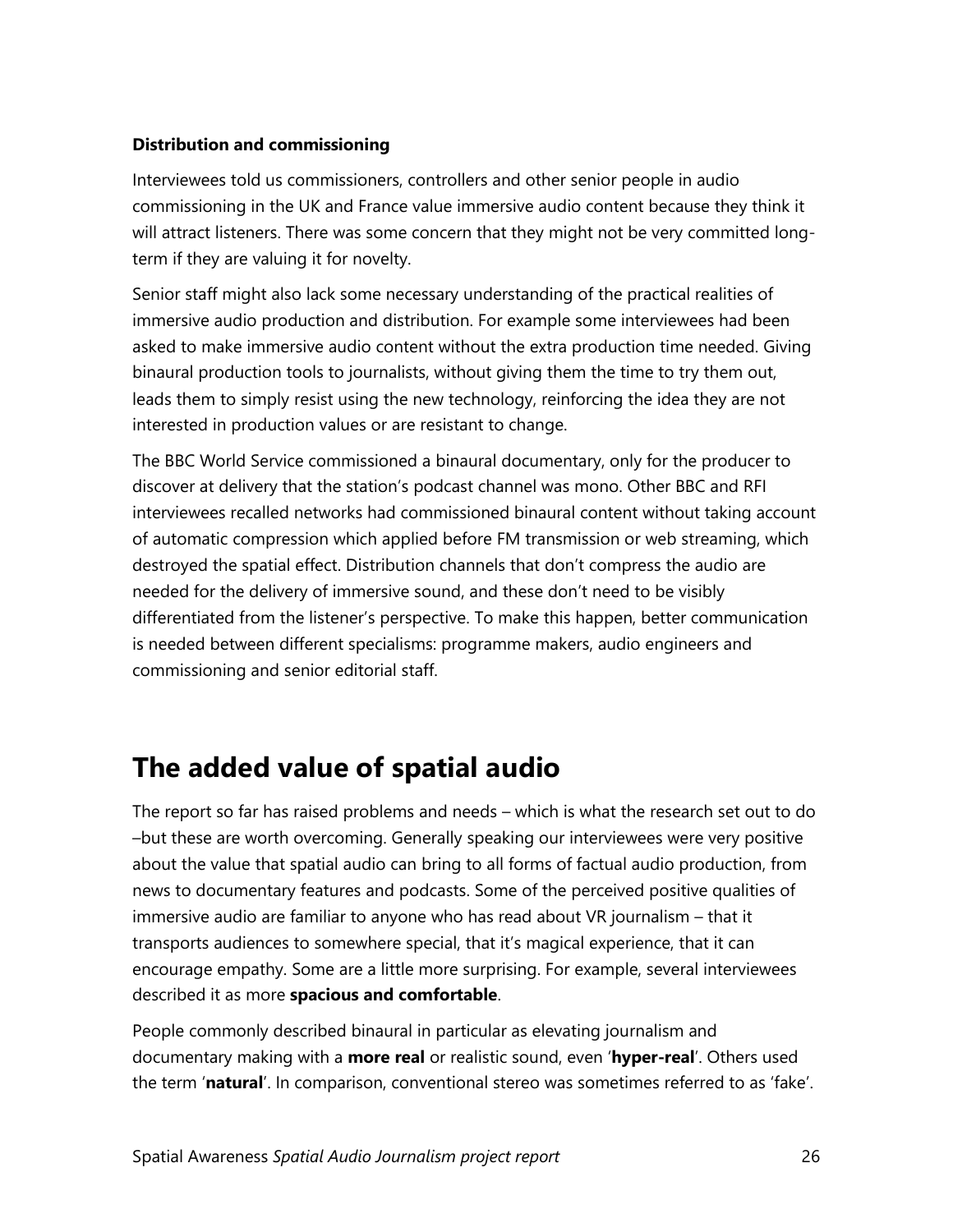#### <span id="page-25-0"></span>**Distribution and commissioning**

Interviewees told us commissioners, controllers and other senior people in audio commissioning in the UK and France value immersive audio content because they think it will attract listeners. There was some concern that they might not be very committed longterm if they are valuing it for novelty.

Senior staff might also lack some necessary understanding of the practical realities of immersive audio production and distribution. For example some interviewees had been asked to make immersive audio content without the extra production time needed. Giving binaural production tools to journalists, without giving them the time to try them out, leads them to simply resist using the new technology, reinforcing the idea they are not interested in production values or are resistant to change.

The BBC World Service commissioned a binaural documentary, only for the producer to discover at delivery that the station's podcast channel was mono. Other BBC and RFI interviewees recalled networks had commissioned binaural content without taking account of automatic compression which applied before FM transmission or web streaming, which destroyed the spatial effect. Distribution channels that don't compress the audio are needed for the delivery of immersive sound, and these don't need to be visibly differentiated from the listener's perspective. To make this happen, better communication is needed between different specialisms: programme makers, audio engineers and commissioning and senior editorial staff.

### <span id="page-25-1"></span>**The added value of spatial audio**

The report so far has raised problems and needs – which is what the research set out to do –but these are worth overcoming. Generally speaking our interviewees were very positive about the value that spatial audio can bring to all forms of factual audio production, from news to documentary features and podcasts. Some of the perceived positive qualities of immersive audio are familiar to anyone who has read about VR journalism – that it transports audiences to somewhere special, that it's magical experience, that it can encourage empathy. Some are a little more surprising. For example, several interviewees described it as more **spacious and comfortable**.

People commonly described binaural in particular as elevating journalism and documentary making with a **more real** or realistic sound, even '**hyper-real**'. Others used the term '**natural**'. In comparison, conventional stereo was sometimes referred to as 'fake'.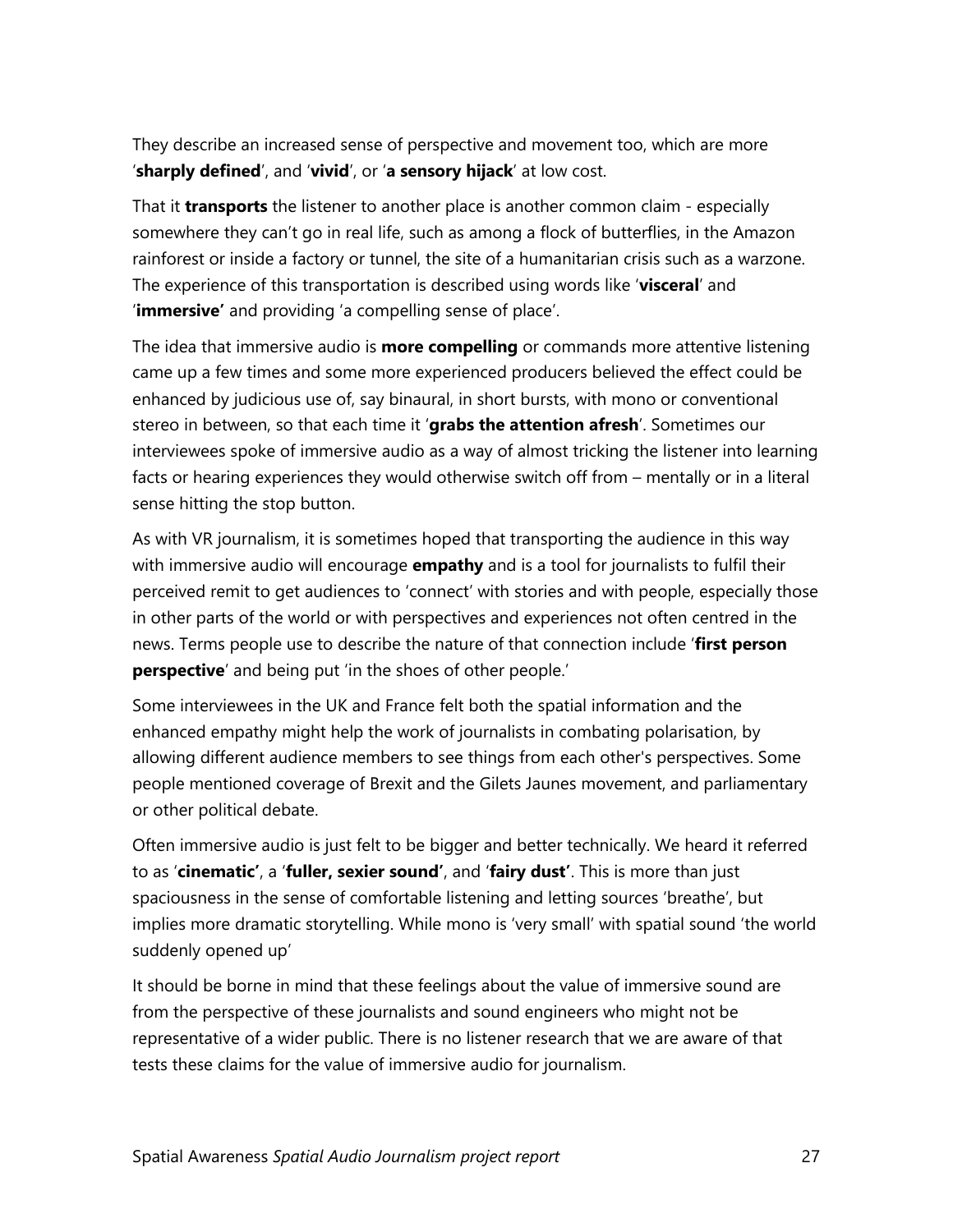They describe an increased sense of perspective and movement too, which are more '**sharply defined**', and '**vivid**', or '**a sensory hijack**' at low cost.

That it **transports** the listener to another place is another common claim - especially somewhere they can't go in real life, such as among a flock of butterflies, in the Amazon rainforest or inside a factory or tunnel, the site of a humanitarian crisis such as a warzone. The experience of this transportation is described using words like '**visceral**' and '**immersive'** and providing 'a compelling sense of place'.

The idea that immersive audio is **more compelling** or commands more attentive listening came up a few times and some more experienced producers believed the effect could be enhanced by judicious use of, say binaural, in short bursts, with mono or conventional stereo in between, so that each time it '**grabs the attention afresh**'. Sometimes our interviewees spoke of immersive audio as a way of almost tricking the listener into learning facts or hearing experiences they would otherwise switch off from – mentally or in a literal sense hitting the stop button.

As with VR journalism, it is sometimes hoped that transporting the audience in this way with immersive audio will encourage **empathy** and is a tool for journalists to fulfil their perceived remit to get audiences to 'connect' with stories and with people, especially those in other parts of the world or with perspectives and experiences not often centred in the news. Terms people use to describe the nature of that connection include '**first person perspective**' and being put 'in the shoes of other people.'

Some interviewees in the UK and France felt both the spatial information and the enhanced empathy might help the work of journalists in combating polarisation, by allowing different audience members to see things from each other's perspectives. Some people mentioned coverage of Brexit and the Gilets Jaunes movement, and parliamentary or other political debate.

Often immersive audio is just felt to be bigger and better technically. We heard it referred to as '**cinematic'**, a '**fuller, sexier sound'**, and '**fairy dust'**. This is more than just spaciousness in the sense of comfortable listening and letting sources 'breathe', but implies more dramatic storytelling. While mono is 'very small' with spatial sound 'the world suddenly opened up'

It should be borne in mind that these feelings about the value of immersive sound are from the perspective of these journalists and sound engineers who might not be representative of a wider public. There is no listener research that we are aware of that tests these claims for the value of immersive audio for journalism.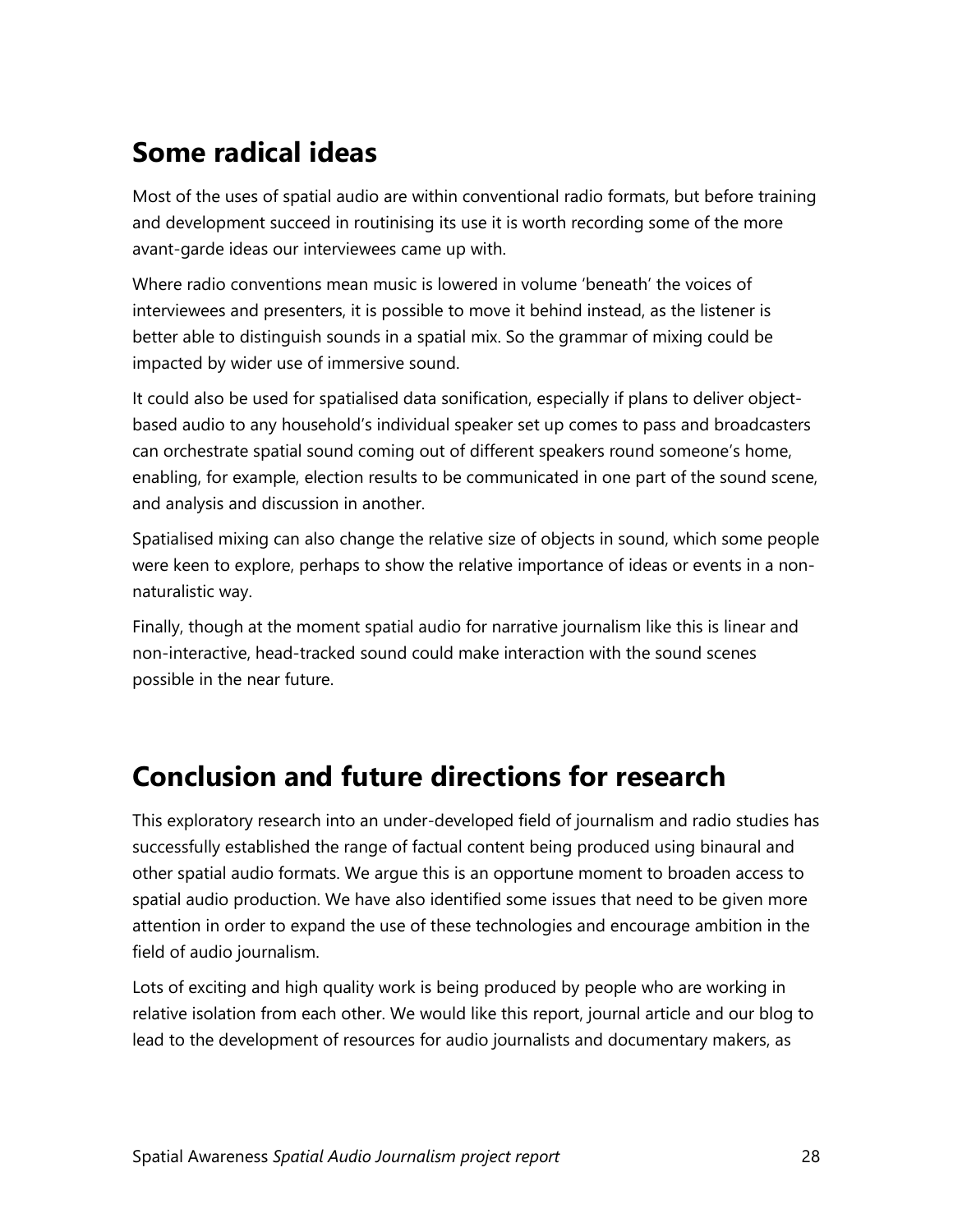### <span id="page-27-0"></span>**Some radical ideas**

Most of the uses of spatial audio are within conventional radio formats, but before training and development succeed in routinising its use it is worth recording some of the more avant-garde ideas our interviewees came up with.

Where radio conventions mean music is lowered in volume 'beneath' the voices of interviewees and presenters, it is possible to move it behind instead, as the listener is better able to distinguish sounds in a spatial mix. So the grammar of mixing could be impacted by wider use of immersive sound.

It could also be used for spatialised data sonification, especially if plans to deliver objectbased audio to any household's individual speaker set up comes to pass and broadcasters can orchestrate spatial sound coming out of different speakers round someone's home, enabling, for example, election results to be communicated in one part of the sound scene, and analysis and discussion in another.

Spatialised mixing can also change the relative size of objects in sound, which some people were keen to explore, perhaps to show the relative importance of ideas or events in a nonnaturalistic way.

Finally, though at the moment spatial audio for narrative journalism like this is linear and non-interactive, head-tracked sound could make interaction with the sound scenes possible in the near future.

### <span id="page-27-1"></span>**Conclusion and future directions for research**

This exploratory research into an under-developed field of journalism and radio studies has successfully established the range of factual content being produced using binaural and other spatial audio formats. We argue this is an opportune moment to broaden access to spatial audio production. We have also identified some issues that need to be given more attention in order to expand the use of these technologies and encourage ambition in the field of audio journalism.

Lots of exciting and high quality work is being produced by people who are working in relative isolation from each other. We would like this report, journal article and our blog to lead to the development of resources for audio journalists and documentary makers, as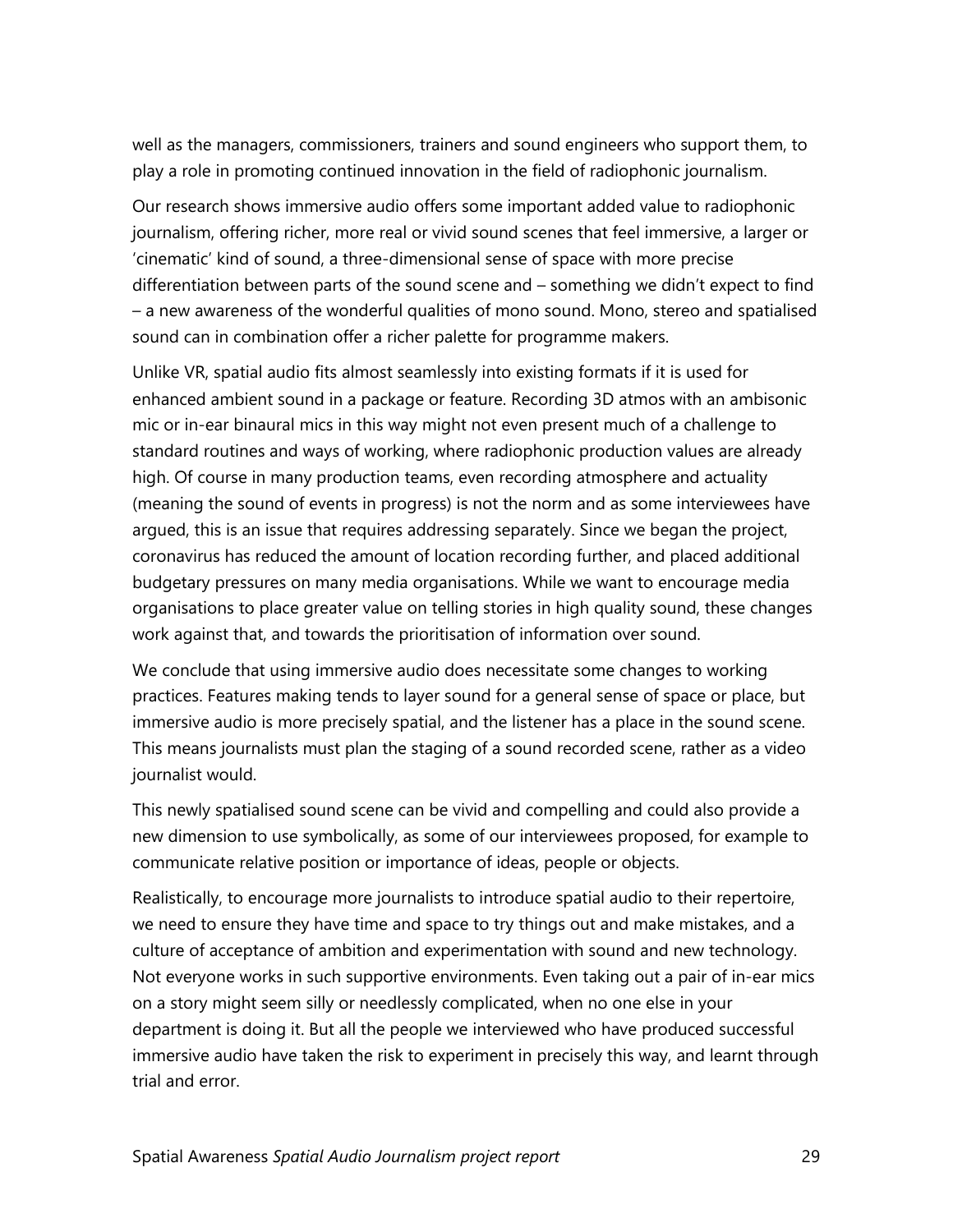well as the managers, commissioners, trainers and sound engineers who support them, to play a role in promoting continued innovation in the field of radiophonic journalism.

Our research shows immersive audio offers some important added value to radiophonic journalism, offering richer, more real or vivid sound scenes that feel immersive, a larger or 'cinematic' kind of sound, a three-dimensional sense of space with more precise differentiation between parts of the sound scene and – something we didn't expect to find – a new awareness of the wonderful qualities of mono sound. Mono, stereo and spatialised sound can in combination offer a richer palette for programme makers.

Unlike VR, spatial audio fits almost seamlessly into existing formats if it is used for enhanced ambient sound in a package or feature. Recording 3D atmos with an ambisonic mic or in-ear binaural mics in this way might not even present much of a challenge to standard routines and ways of working, where radiophonic production values are already high. Of course in many production teams, even recording atmosphere and actuality (meaning the sound of events in progress) is not the norm and as some interviewees have argued, this is an issue that requires addressing separately. Since we began the project, coronavirus has reduced the amount of location recording further, and placed additional budgetary pressures on many media organisations. While we want to encourage media organisations to place greater value on telling stories in high quality sound, these changes work against that, and towards the prioritisation of information over sound.

We conclude that using immersive audio does necessitate some changes to working practices. Features making tends to layer sound for a general sense of space or place, but immersive audio is more precisely spatial, and the listener has a place in the sound scene. This means journalists must plan the staging of a sound recorded scene, rather as a video journalist would.

This newly spatialised sound scene can be vivid and compelling and could also provide a new dimension to use symbolically, as some of our interviewees proposed, for example to communicate relative position or importance of ideas, people or objects.

Realistically, to encourage more journalists to introduce spatial audio to their repertoire, we need to ensure they have time and space to try things out and make mistakes, and a culture of acceptance of ambition and experimentation with sound and new technology. Not everyone works in such supportive environments. Even taking out a pair of in-ear mics on a story might seem silly or needlessly complicated, when no one else in your department is doing it. But all the people we interviewed who have produced successful immersive audio have taken the risk to experiment in precisely this way, and learnt through trial and error.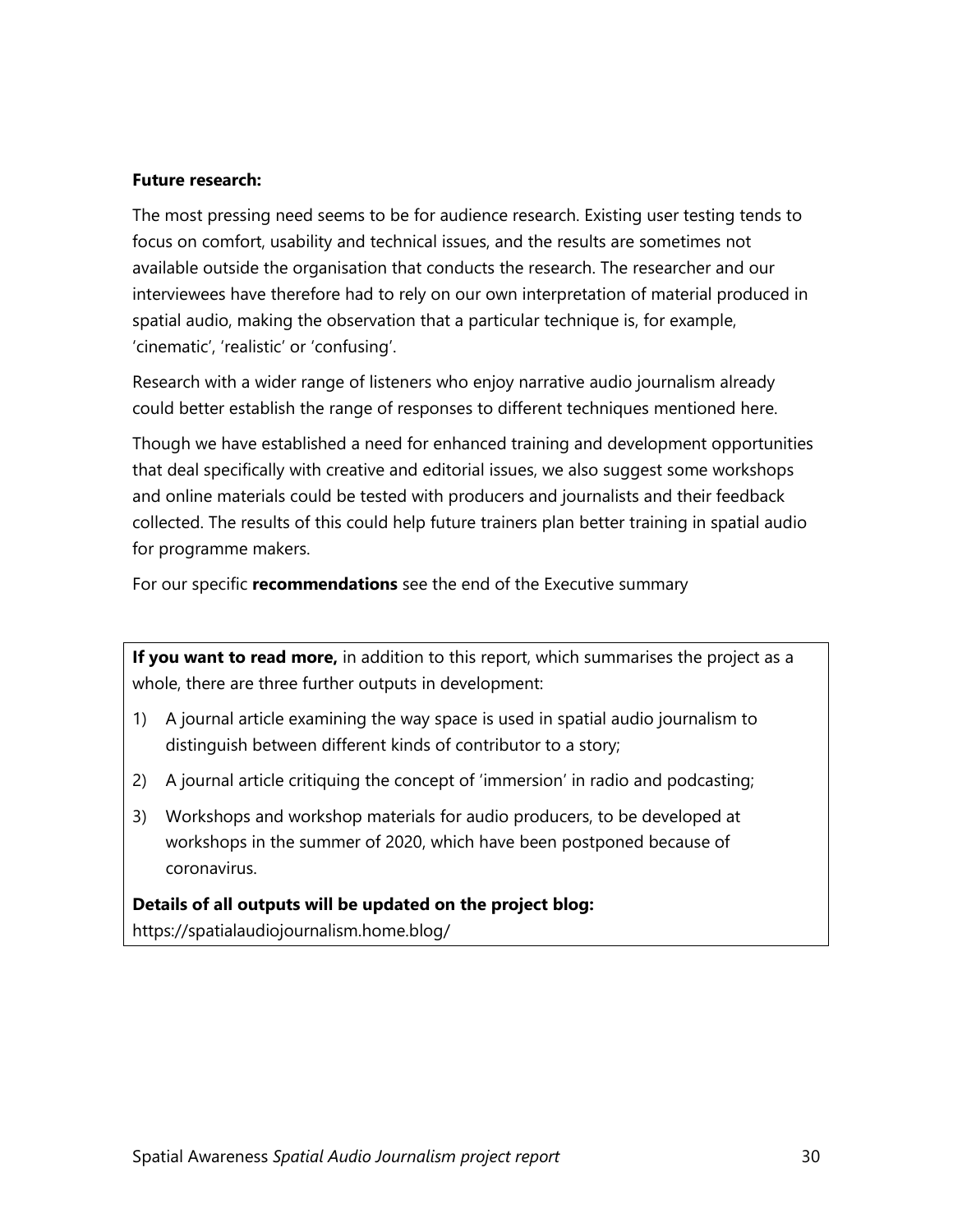#### <span id="page-29-0"></span>**Future research:**

The most pressing need seems to be for audience research. Existing user testing tends to focus on comfort, usability and technical issues, and the results are sometimes not available outside the organisation that conducts the research. The researcher and our interviewees have therefore had to rely on our own interpretation of material produced in spatial audio, making the observation that a particular technique is, for example, 'cinematic', 'realistic' or 'confusing'.

Research with a wider range of listeners who enjoy narrative audio journalism already could better establish the range of responses to different techniques mentioned here.

Though we have established a need for enhanced training and development opportunities that deal specifically with creative and editorial issues, we also suggest some workshops and online materials could be tested with producers and journalists and their feedback collected. The results of this could help future trainers plan better training in spatial audio for programme makers.

For our specific **recommendations** see [the end of the Executive summary](#page-6-0)

**If you want to read more,** in addition to this report, which summarises the project as a whole, there are three further outputs in development:

- 1) A journal article examining the way space is used in spatial audio journalism to distinguish between different kinds of contributor to a story;
- 2) A journal article critiquing the concept of 'immersion' in radio and podcasting;
- 3) Workshops and workshop materials for audio producers, to be developed at workshops in the summer of 2020, which have been postponed because of coronavirus.

**Details of all outputs will be updated on the project blog:**  <https://spatialaudiojournalism.home.blog/>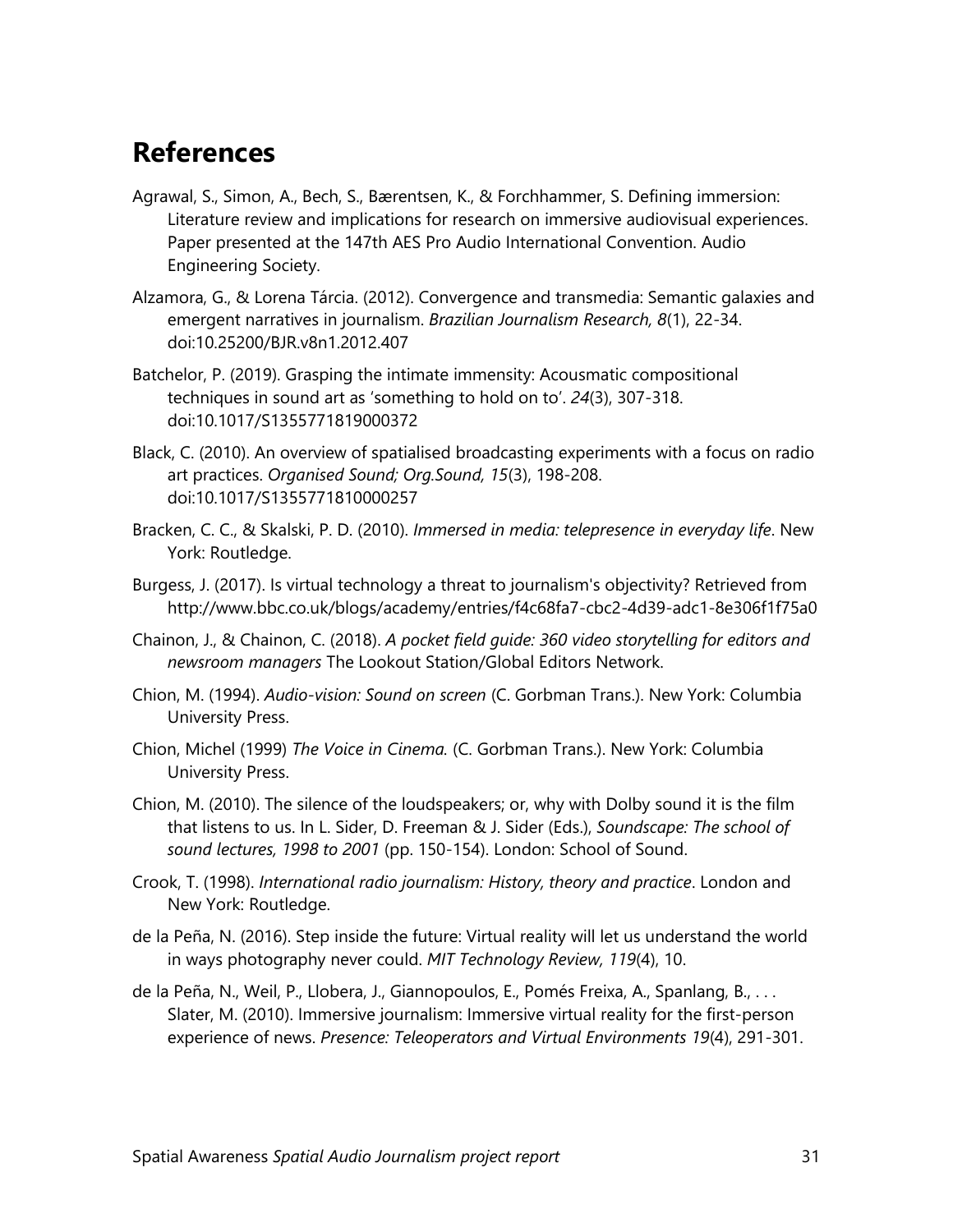### **References**

- Agrawal, S., Simon, A., Bech, S., Bærentsen, K., & Forchhammer, S. Defining immersion: Literature review and implications for research on immersive audiovisual experiences. Paper presented at the 147th AES Pro Audio International Convention. Audio Engineering Society.
- Alzamora, G., & Lorena Tárcia. (2012). Convergence and transmedia: Semantic galaxies and emergent narratives in journalism. *Brazilian Journalism Research, 8*(1), 22-34. doi:10.25200/BJR.v8n1.2012.407
- Batchelor, P. (2019). Grasping the intimate immensity: Acousmatic compositional techniques in sound art as 'something to hold on to'. *24*(3), 307-318. doi:10.1017/S1355771819000372
- Black, C. (2010). An overview of spatialised broadcasting experiments with a focus on radio art practices. *Organised Sound; Org.Sound, 15*(3), 198-208. doi:10.1017/S1355771810000257
- Bracken, C. C., & Skalski, P. D. (2010). *Immersed in media: telepresence in everyday life*. New York: Routledge.
- Burgess, J. (2017). Is virtual technology a threat to journalism's objectivity? Retrieved from http://www.bbc.co.uk/blogs/academy/entries/f4c68fa7-cbc2-4d39-adc1-8e306f1f75a0
- Chainon, J., & Chainon, C. (2018). *A pocket field guide: 360 video storytelling for editors and newsroom managers* The Lookout Station/Global Editors Network.
- Chion, M. (1994). *Audio-vision: Sound on screen* (C. Gorbman Trans.). New York: Columbia University Press.
- Chion, Michel (1999) *The Voice in Cinema.* (C. Gorbman Trans.). New York: Columbia University Press.
- Chion, M. (2010). The silence of the loudspeakers; or, why with Dolby sound it is the film that listens to us. In L. Sider, D. Freeman & J. Sider (Eds.), *Soundscape: The school of sound lectures, 1998 to 2001* (pp. 150-154). London: School of Sound.
- Crook, T. (1998). *International radio journalism: History, theory and practice*. London and New York: Routledge.
- de la Peña, N. (2016). Step inside the future: Virtual reality will let us understand the world in ways photography never could. *MIT Technology Review, 119*(4), 10.
- de la Peña, N., Weil, P., Llobera, J., Giannopoulos, E., Pomés Freixa, A., Spanlang, B., . . . Slater, M. (2010). Immersive journalism: Immersive virtual reality for the first-person experience of news. *Presence: Teleoperators and Virtual Environments 19*(4), 291-301.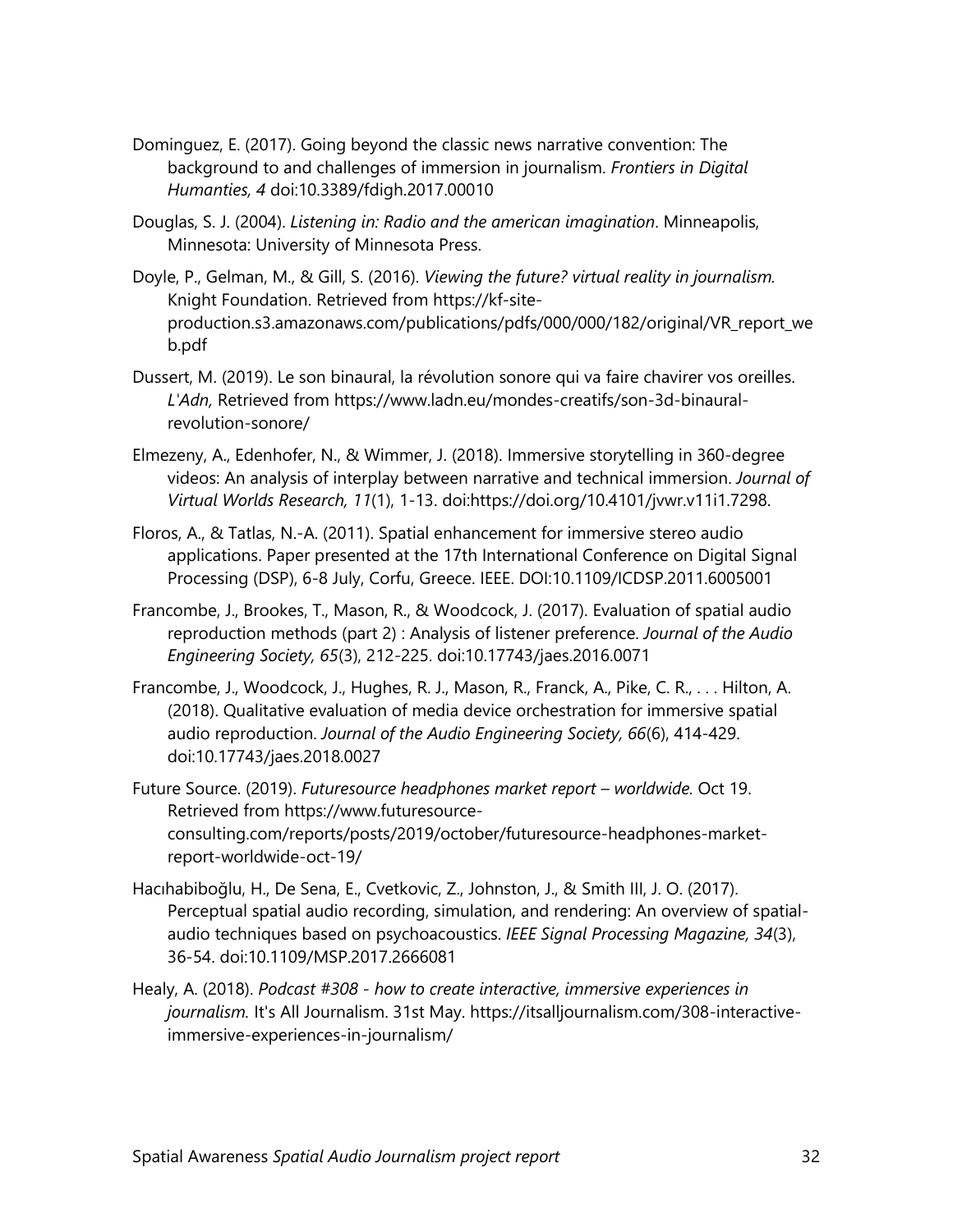- Dominguez, E. (2017). Going beyond the classic news narrative convention: The background to and challenges of immersion in journalism. *Frontiers in Digital Humanties, 4* doi:10.3389/fdigh.2017.00010
- Douglas, S. J. (2004). *Listening in: Radio and the american imagination*. Minneapolis, Minnesota: University of Minnesota Press.
- Doyle, P., Gelman, M., & Gill, S. (2016). *Viewing the future? virtual reality in journalism.* Knight Foundation. Retrieved from https://kf-siteproduction.s3.amazonaws.com/publications/pdfs/000/000/182/original/VR\_report\_we b.pdf
- Dussert, M. (2019). Le son binaural, la révolution sonore qui va faire chavirer vos oreilles. *L'Adn,* Retrieved from https://www.ladn.eu/mondes-creatifs/son-3d-binauralrevolution-sonore/
- Elmezeny, A., Edenhofer, N., & Wimmer, J. (2018). Immersive storytelling in 360-degree videos: An analysis of interplay between narrative and technical immersion. *Journal of Virtual Worlds Research, 11*(1), 1-13. doi:https://doi.org/10.4101/jvwr.v11i1.7298.
- Floros, A., & Tatlas, N.-A. (2011). Spatial enhancement for immersive stereo audio applications. Paper presented at the 17th International Conference on Digital Signal Processing (DSP), 6-8 July, Corfu, Greece. IEEE. DOI:10.1109/ICDSP.2011.6005001
- Francombe, J., Brookes, T., Mason, R., & Woodcock, J. (2017). Evaluation of spatial audio reproduction methods (part 2) : Analysis of listener preference. *Journal of the Audio Engineering Society, 65*(3), 212-225. doi:10.17743/jaes.2016.0071
- Francombe, J., Woodcock, J., Hughes, R. J., Mason, R., Franck, A., Pike, C. R., . . . Hilton, A. (2018). Qualitative evaluation of media device orchestration for immersive spatial audio reproduction. *Journal of the Audio Engineering Society, 66*(6), 414-429. doi:10.17743/jaes.2018.0027
- Future Source. (2019). *Futuresource headphones market report – worldwide.* Oct 19. Retrieved from https://www.futuresourceconsulting.com/reports/posts/2019/october/futuresource-headphones-marketreport-worldwide-oct-19/
- Hacıhabiboğlu, H., De Sena, E., Cvetkovic, Z., Johnston, J., & Smith III, J. O. (2017). Perceptual spatial audio recording, simulation, and rendering: An overview of spatialaudio techniques based on psychoacoustics. *IEEE Signal Processing Magazine, 34*(3), 36-54. doi:10.1109/MSP.2017.2666081
- Healy, A. (2018). *Podcast #308 - how to create interactive, immersive experiences in journalism.* It's All Journalism. 31st May. https://itsalljournalism.com/308-interactiveimmersive-experiences-in-journalism/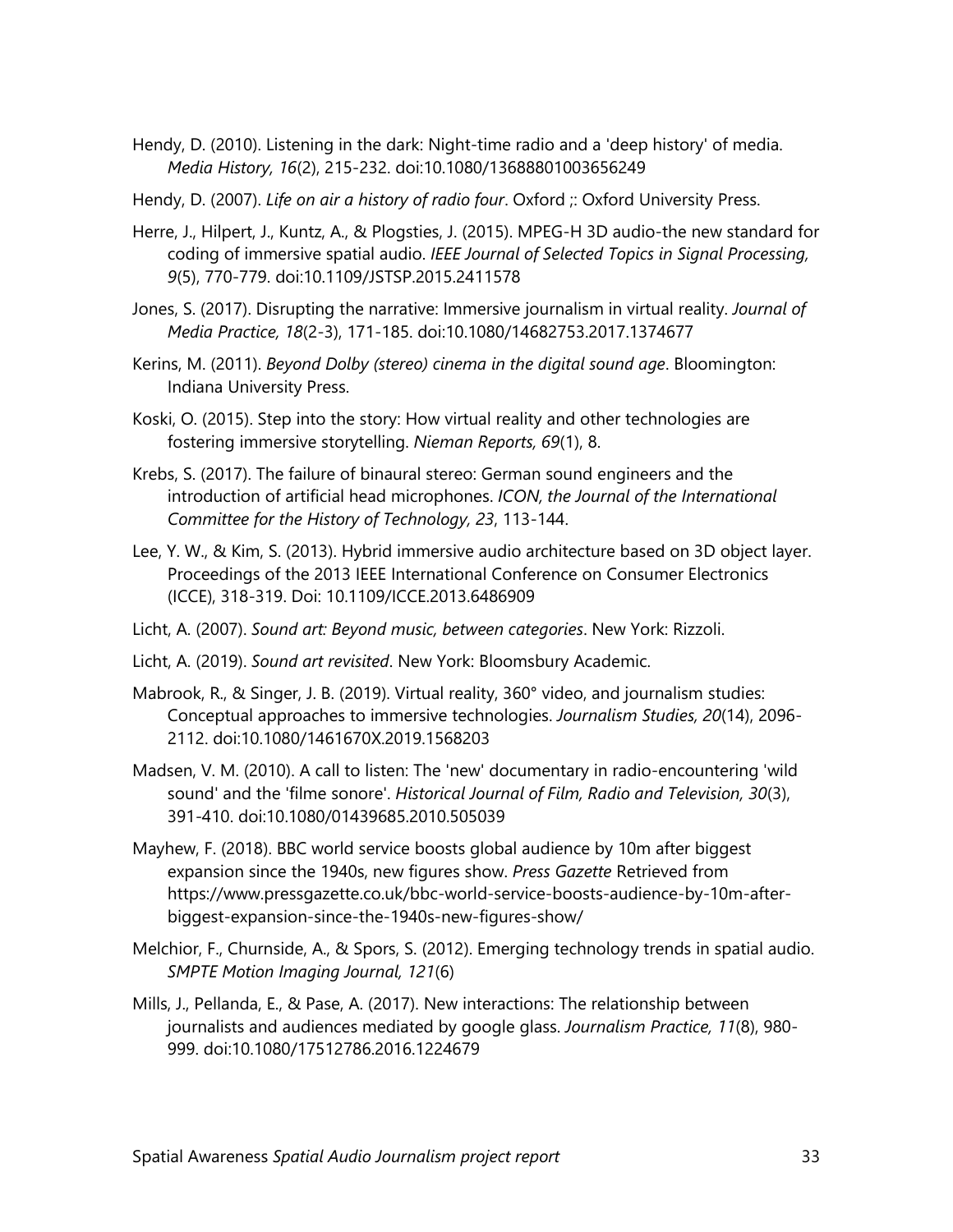- Hendy, D. (2010). Listening in the dark: Night-time radio and a 'deep history' of media. *Media History, 16*(2), 215-232. doi:10.1080/13688801003656249
- Hendy, D. (2007). *Life on air a history of radio four*. Oxford ;: Oxford University Press.
- Herre, J., Hilpert, J., Kuntz, A., & Plogsties, J. (2015). MPEG-H 3D audio-the new standard for coding of immersive spatial audio. *IEEE Journal of Selected Topics in Signal Processing, 9*(5), 770-779. doi:10.1109/JSTSP.2015.2411578
- Jones, S. (2017). Disrupting the narrative: Immersive journalism in virtual reality. *Journal of Media Practice, 18*(2-3), 171-185. doi:10.1080/14682753.2017.1374677
- Kerins, M. (2011). *Beyond Dolby (stereo) cinema in the digital sound age*. Bloomington: Indiana University Press.
- Koski, O. (2015). Step into the story: How virtual reality and other technologies are fostering immersive storytelling. *Nieman Reports, 69*(1), 8.
- Krebs, S. (2017). The failure of binaural stereo: German sound engineers and the introduction of artificial head microphones. *ICON, the Journal of the International Committee for the History of Technology, 23*, 113-144.
- Lee, Y. W., & Kim, S. (2013). Hybrid immersive audio architecture based on 3D object layer. Proceedings of the 2013 IEEE International Conference on Consumer Electronics (ICCE), 318-319. Doi: 10.1109/ICCE.2013.6486909
- Licht, A. (2007). *Sound art: Beyond music, between categories*. New York: Rizzoli.
- Licht, A. (2019). *Sound art revisited*. New York: Bloomsbury Academic.
- Mabrook, R., & Singer, J. B. (2019). Virtual reality, 360° video, and journalism studies: Conceptual approaches to immersive technologies. *Journalism Studies, 20*(14), 2096- 2112. doi:10.1080/1461670X.2019.1568203
- Madsen, V. M. (2010). A call to listen: The 'new' documentary in radio-encountering 'wild sound' and the 'filme sonore'. *Historical Journal of Film, Radio and Television, 30*(3), 391-410. doi:10.1080/01439685.2010.505039
- Mayhew, F. (2018). BBC world service boosts global audience by 10m after biggest expansion since the 1940s, new figures show. *Press Gazette* Retrieved from https://www.pressgazette.co.uk/bbc-world-service-boosts-audience-by-10m-afterbiggest-expansion-since-the-1940s-new-figures-show/
- Melchior, F., Churnside, A., & Spors, S. (2012). Emerging technology trends in spatial audio. *SMPTE Motion Imaging Journal, 121*(6)
- Mills, J., Pellanda, E., & Pase, A. (2017). New interactions: The relationship between journalists and audiences mediated by google glass. *Journalism Practice, 11*(8), 980- 999. doi:10.1080/17512786.2016.1224679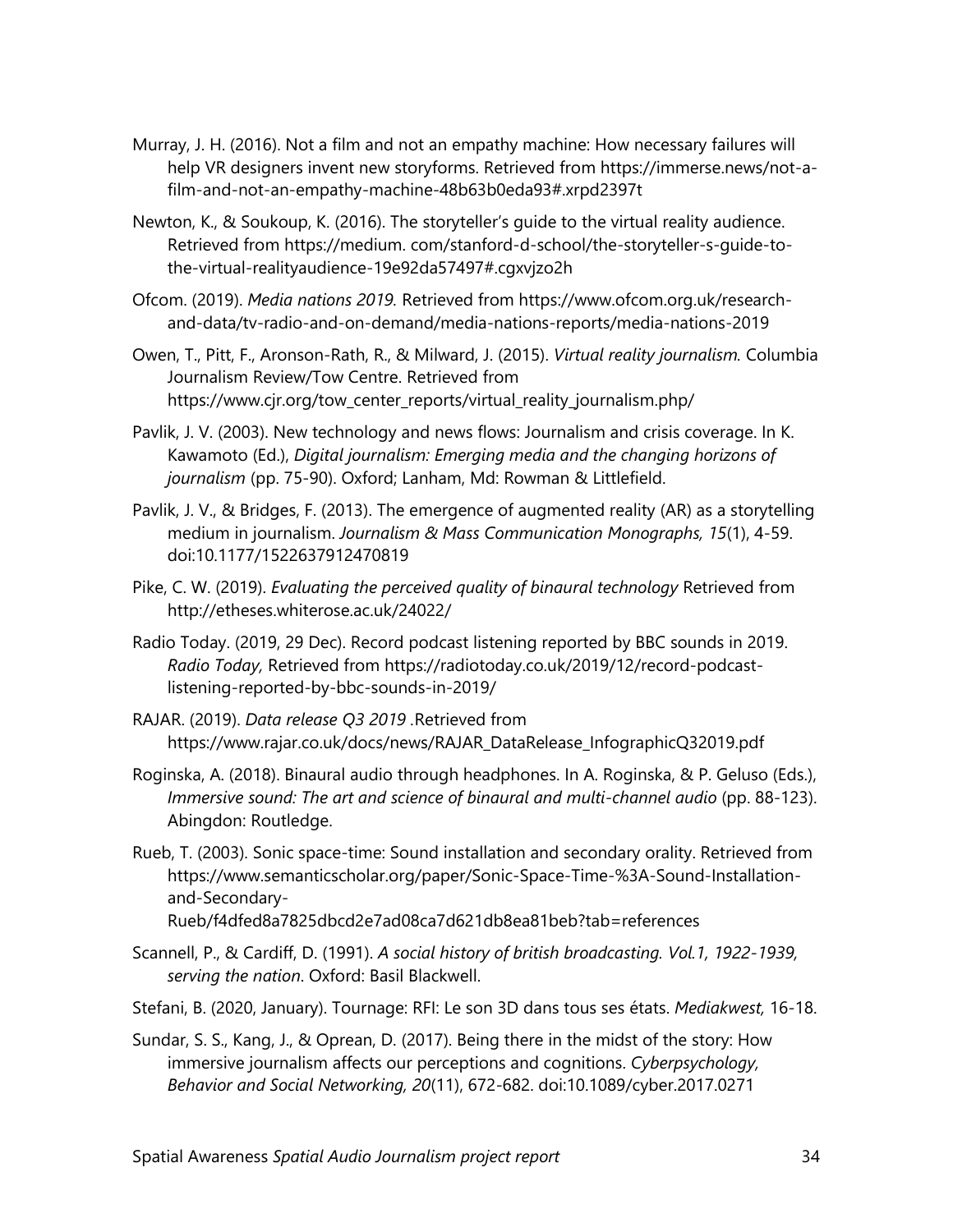- Murray, J. H. (2016). Not a film and not an empathy machine: How necessary failures will help VR designers invent new storyforms. Retrieved from https://immerse.news/not-afilm-and-not-an-empathy-machine-48b63b0eda93#.xrpd2397t
- Newton, K., & Soukoup, K. (2016). The storyteller's guide to the virtual reality audience. Retrieved from https://medium. com/stanford-d-school/the-storyteller-s-guide-tothe-virtual-realityaudience-19e92da57497#.cgxvjzo2h
- Ofcom. (2019). *Media nations 2019.* Retrieved from https://www.ofcom.org.uk/researchand-data/tv-radio-and-on-demand/media-nations-reports/media-nations-2019
- Owen, T., Pitt, F., Aronson-Rath, R., & Milward, J. (2015). *Virtual reality journalism.* Columbia Journalism Review/Tow Centre. Retrieved from https://www.cjr.org/tow\_center\_reports/virtual\_reality\_journalism.php/
- Pavlik, J. V. (2003). New technology and news flows: Journalism and crisis coverage. In K. Kawamoto (Ed.), *Digital journalism: Emerging media and the changing horizons of journalism* (pp. 75-90). Oxford; Lanham, Md: Rowman & Littlefield.
- Pavlik, J. V., & Bridges, F. (2013). The emergence of augmented reality (AR) as a storytelling medium in journalism. *Journalism & Mass Communication Monographs, 15*(1), 4-59. doi:10.1177/1522637912470819
- Pike, C. W. (2019). *Evaluating the perceived quality of binaural technology* Retrieved from http://etheses.whiterose.ac.uk/24022/
- Radio Today. (2019, 29 Dec). Record podcast listening reported by BBC sounds in 2019. *Radio Today,* Retrieved from https://radiotoday.co.uk/2019/12/record-podcastlistening-reported-by-bbc-sounds-in-2019/
- RAJAR. (2019). *Data release Q3 2019 .*Retrieved from https://www.rajar.co.uk/docs/news/RAJAR\_DataRelease\_InfographicQ32019.pdf
- Roginska, A. (2018). Binaural audio through headphones. In A. Roginska, & P. Geluso (Eds.), *Immersive sound: The art and science of binaural and multi-channel audio* (pp. 88-123). Abingdon: Routledge.
- Rueb, T. (2003). Sonic space-time: Sound installation and secondary orality. Retrieved from https://www.semanticscholar.org/paper/Sonic-Space-Time-%3A-Sound-Installationand-Secondary-Rueb/f4dfed8a7825dbcd2e7ad08ca7d621db8ea81beb?tab=references
- Scannell, P., & Cardiff, D. (1991). *A social history of british broadcasting. Vol.1, 1922-1939, serving the nation*. Oxford: Basil Blackwell.
- Stefani, B. (2020, January). Tournage: RFI: Le son 3D dans tous ses états. *Mediakwest,* 16-18.
- Sundar, S. S., Kang, J., & Oprean, D. (2017). Being there in the midst of the story: How immersive journalism affects our perceptions and cognitions. *Cyberpsychology, Behavior and Social Networking, 20*(11), 672-682. doi:10.1089/cyber.2017.0271